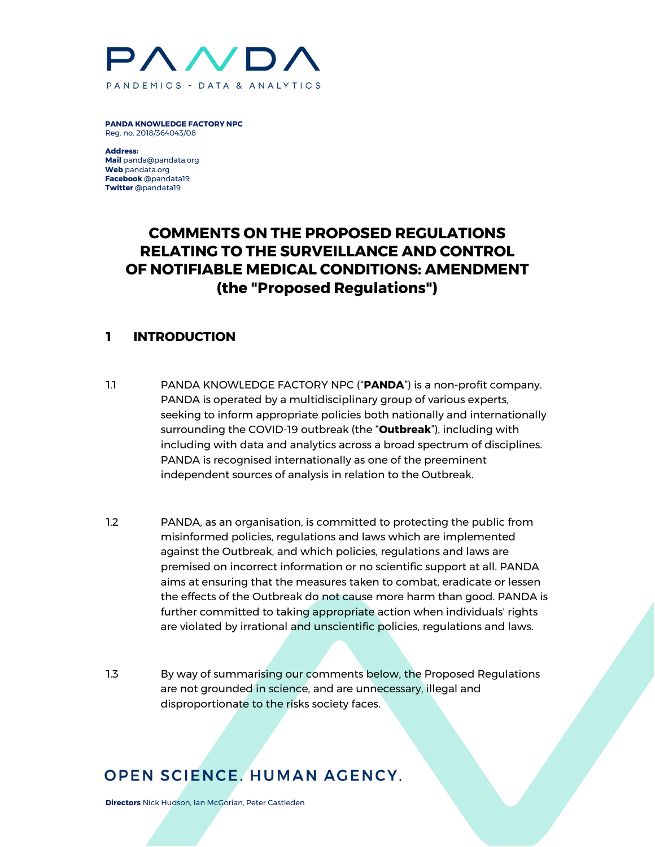

**PANDA KNOWLEDGE FACTORY NPC** Reg. no. 2018/364043/08

**Address: Mail** panda@pandata.org **Web** pandata.org **Facebook** @pandata19 **Twitter** @pandata19

# **COMMENTS ON THE PROPOSED REGULATIONS RELATING TO THE SURVEILLANCE AND CONTROL OF NOTIFIABLE MEDICAL CONDITIONS: AMENDMENT (the "Proposed Regulations")**

## **1 INTRODUCTION**

- 1.1 PANDA KNOWLEDGE FACTORY NPC ("**PANDA**") is a non-profit company. PANDA is operated by a multidisciplinary group of various experts, seeking to inform appropriate policies both nationally and internationally surrounding the COVID-19 outbreak (the "**Outbreak**"), including with including with data and analytics across a broad spectrum of disciplines. PANDA is recognised internationally as one of the preeminent independent sources of analysis in relation to the Outbreak.
- 1.2 PANDA, as an organisation, is committed to protecting the public from misinformed policies, regulations and laws which are implemented against the Outbreak, and which policies, regulations and laws are premised on incorrect information or no scientific support at all. PANDA aims at ensuring that the measures taken to combat, eradicate or lessen the effects of the Outbreak do not cause more harm than good. PANDA is further committed to taking appropriate action when individuals' rights are violated by irrational and unscientific policies, regulations and laws.
- 1.3 By way of summarising our comments below, the Proposed Regulations are not grounded in science, and are unnecessary, illegal and disproportionate to the risks society faces.

# **OPEN SCIENCE. HUMAN AGENCY.**

**Directors** Nick Hudson, Ian McGorian, Peter Castleden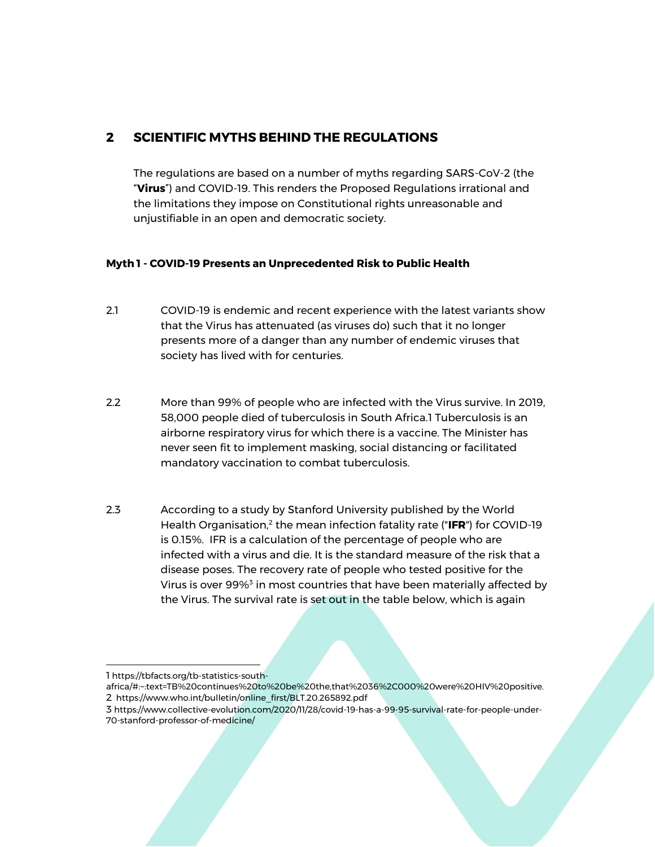## <span id="page-1-0"></span>**2 SCIENTIFIC MYTHS BEHIND THE REGULATIONS**

The regulations are based on a number of myths regarding SARS-CoV-2 (the "**Virus**") and COVID-19. This renders the Proposed Regulations irrational and the limitations they impose on Constitutional rights unreasonable and unjustifiable in an open and democratic society.

#### **Myth 1 - COVID-19 Presents an Unprecedented Risk to Public Health**

- 2.1 COVID-19 is endemic and recent experience with the latest variants show that the Virus has attenuated (as viruses do) such that it no longer presents more of a danger than any number of endemic viruses that society has lived with for centuries.
- 2.2 More than 99% of people who are infected with the Virus survive. In 2019, 58,000 people died of tuberculosis in South Africa.1 Tuberculosis is an airborne respiratory virus for which there is a vaccine. The Minister has never seen fit to implement masking, social distancing or facilitated mandatory vaccination to combat tuberculosis.
- 2.3 According to a study by Stanford University published by the World Health Organisation,<sup>2</sup> the mean infection fatality rate ("IFR") for COVID-19 is 0.15%. IFR is a calculation of the percentage of people who are infected with a virus and die. It is the standard measure of the risk that a disease poses. The recovery rate of people who tested positive for the Virus is over 99%<sup>3</sup> in most countries that have been materially affected by the Virus. The survival rate is set out in the table below, which is again

1 https://tbfacts.org/tb-statistics-south-

- africa/#:~:text=TB%20continues%20to%20be%20the,that%2036%2C000%20were%20HIV%20positive. 2 https://www.who.int/bulletin/online\_first/BLT.20.265892.pdf
- 3 https://www.collective-evolution.com/2020/11/28/covid-19-has-a-99-95-survival-rate-for-people-under-70-stanford-professor-of-medicine/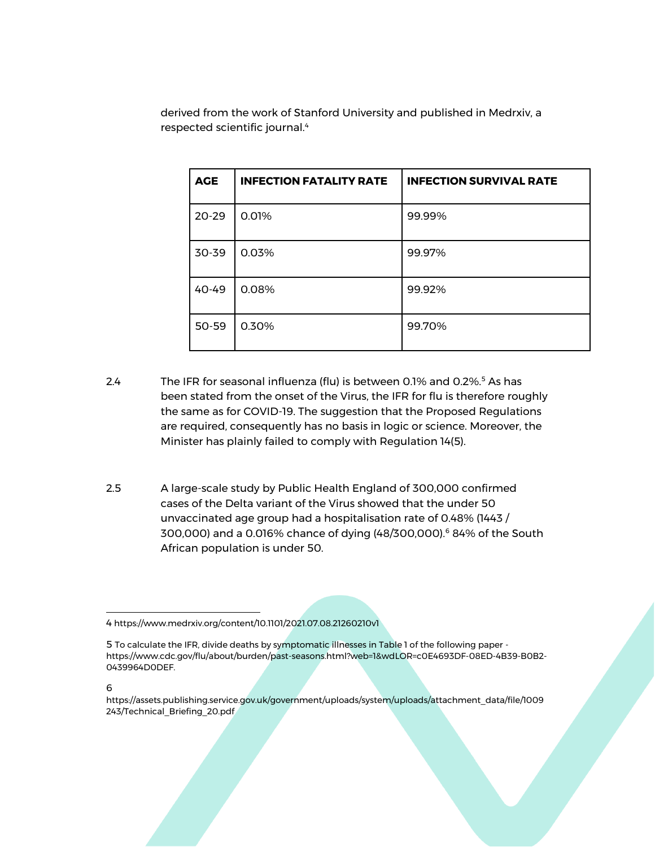derived from the work of Stanford University and published in Medrxiv, a respected scientific journal.<sup>4</sup>

| <b>AGE</b> | <b>INFECTION FATALITY RATE</b> | <b>INFECTION SURVIVAL RATE</b> |
|------------|--------------------------------|--------------------------------|
| $20 - 29$  | 0.01%                          | 99.99%                         |
| 30-39      | 0.03%                          | 99.97%                         |
| $40-49$    | 0.08%                          | 99.92%                         |
| $50 - 59$  | 0.30%                          | 99.70%                         |

- 2.4 The IFR for seasonal influenza (flu) is between 0.1% and 0.2%.<sup>5</sup> As has been stated from the onset of the Virus, the IFR for flu is therefore roughly the same as for COVID-19. The suggestion that the Proposed Regulations are required, consequently has no basis in logic or science. Moreover, the Minister has plainly failed to comply with Regulation 14(5).
- 2.5 A large-scale study by Public Health England of 300,000 confirmed cases of the Delta variant of the Virus showed that the under 50 unvaccinated age group had a hospitalisation rate of 0.48% (1443 / 300,000) and a 0.016% chance of dying (48/300,000).<sup>6</sup> 84% of the South African population is under 50.

<sup>4</sup> https://www.medrxiv.org/content/10.1101/2021.07.08.21260210v1

<sup>5</sup> To calculate the IFR, divide deaths by symptomatic illnesses in Table 1 of the following paper https://www.cdc.gov/flu/about/burden/past-seasons.html?web=1&wdLOR=c0E4693DF-08ED-4B39-B0B2- 0439964D0DEF.

<sup>6</sup>

https://assets.publishing.service.gov.uk/government/uploads/system/uploads/attachment\_data/file/1009 243/Technical\_Briefing\_20.pdf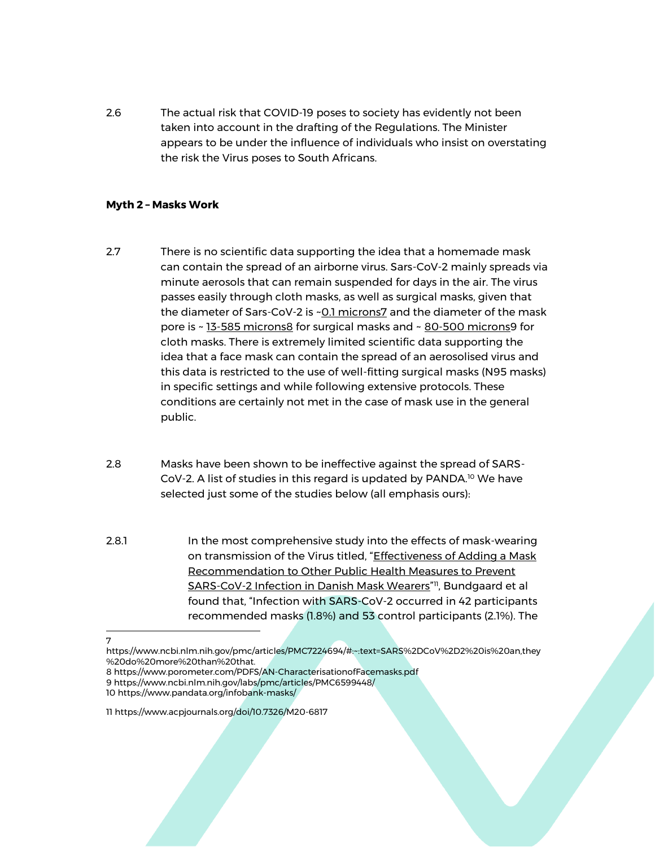2.6 The actual risk that COVID-19 poses to society has evidently not been taken into account in the drafting of the Regulations. The Minister appears to be under the influence of individuals who insist on overstating the risk the Virus poses to South Africans.

#### **Myth 2 – Masks Work**

- 2.7 There is no scientific data supporting the idea that a homemade mask can contain the spread of an airborne virus. Sars-CoV-2 mainly spreads via minute aerosols that can remain suspended for days in the air. The virus passes easily through cloth masks, as well as surgical masks, given that the diameter of Sars-CoV-2 is [~0.1 microns7](https://www.ncbi.nlm.nih.gov/pmc/articles/PMC7224694/#:~:text=SARS%2DCoV%2D2%20is%20an,they%20do%20more%20than%20that.) and the diameter of the mask pore is ~ [13-585 microns8](https://www.porometer.com/PDFS/AN-CharacterisationofFacemasks.pdf) for surgical masks and ~ [80-500 microns9](https://www.ncbi.nlm.nih.gov/labs/pmc/articles/PMC6599448/) for cloth masks. There is extremely limited scientific data supporting the idea that a face mask can contain the spread of an aerosolised virus and this data is restricted to the use of well-fitting surgical masks (N95 masks) in specific settings and while following extensive protocols. These conditions are certainly not met in the case of mask use in the general public.
- 2.8 Masks have been shown to be ineffective against the spread of SARS-CoV-2. A list of studies in this regard is updated by PANDA.<sup>10</sup> We have selected just some of the studies below (all emphasis ours):
- 2.8.1 In the most comprehensive study into the effects of mask-wearing on transmission of the Virus titled, "[Effectiveness of Adding a Mask](https://www.acpjournals.org/doi/10.7326/M20-6817)  [Recommendation to Other Public Health Measures to Prevent](https://www.acpjournals.org/doi/10.7326/M20-6817)  [SARS-CoV-2 Infection in Danish Mask Wearers](https://www.acpjournals.org/doi/10.7326/M20-6817)"<sup>11</sup>, Bundgaard et al found that, "Infection with SARS-CoV-2 occurred in 42 participants recommended masks (1.8%) and 53 control participants (2.1%). The

- https://www.ncbi.nlm.nih.gov/pmc/articles/PMC7224694/#:~:text=SARS%2DCoV%2D2%20is%20an,they %20do%20more%20than%20that.
- 8 https://www.porometer.com/PDFS/AN-CharacterisationofFacemasks.pdf
- 9 https://www.ncbi.nlm.nih.gov/labs/pmc/articles/PMC6599448/

<sup>7</sup>

<sup>10</sup> https://www.pandata.org/infobank-masks/

<sup>11</sup> https://www.acpjournals.org/doi/10.7326/M20-6817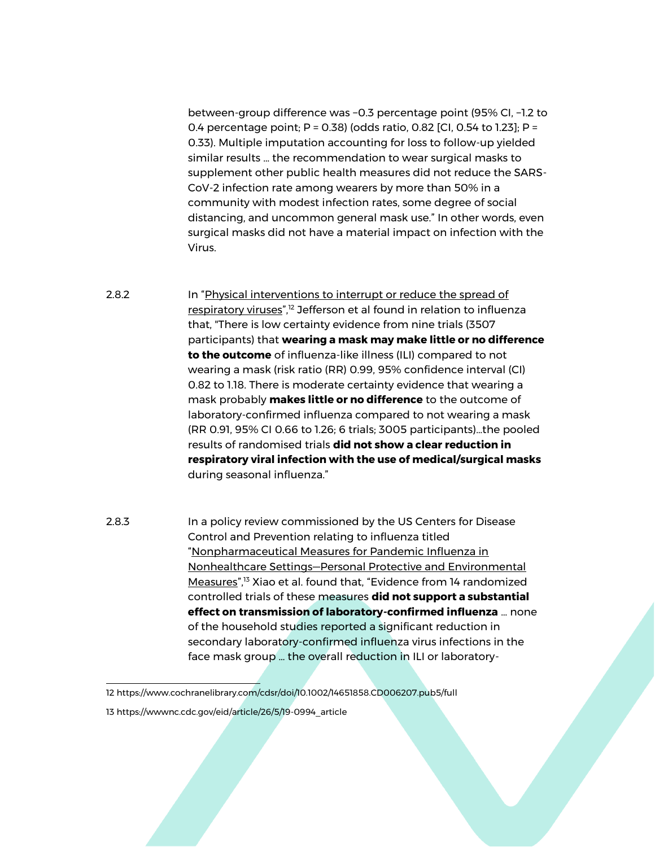between-group difference was −0.3 percentage point (95% CI, −1.2 to 0.4 percentage point;  $P = 0.38$ ) (odds ratio, 0.82 [Cl, 0.54 to 1.23];  $P =$ 0.33). Multiple imputation accounting for loss to follow-up yielded similar results … the recommendation to wear surgical masks to supplement other public health measures did not reduce the SARS-CoV-2 infection rate among wearers by more than 50% in a community with modest infection rates, some degree of social distancing, and uncommon general mask use." In other words, even surgical masks did not have a material impact on infection with the Virus.

2.8.2 In "Physical interventions to interrupt or reduce the spread of [respiratory viruses](https://www.cochranelibrary.com/cdsr/doi/10.1002/14651858.CD006207.pub5/full)",<sup>12</sup> Jefferson et al found in relation to influenza that, "There is low certainty evidence from nine trials (3507 participants) that **wearing a mask may make little or no difference to the outcome** of influenza‐like illness (ILI) compared to not wearing a mask (risk ratio (RR) 0.99, 95% confidence interval (CI) 0.82 to 1.18. There is moderate certainty evidence that wearing a mask probably **makes little or no difference** to the outcome of laboratory‐confirmed influenza compared to not wearing a mask (RR 0.91, 95% CI 0.66 to 1.26; 6 trials; 3005 participants)…the pooled results of randomised trials **did not show a clear reduction in respiratory viral infection with the use of medical/surgical masks** during seasonal influenza."

2.8.3 In a policy review commissioned by the US Centers for Disease Control and Prevention relating to influenza titled "[Nonpharmaceutical Measures for Pandemic Influenza in](https://wwwnc.cdc.gov/eid/article/26/5/19-0994_article)  Nonhealthcare Settings—[Personal Protective and Environmental](https://wwwnc.cdc.gov/eid/article/26/5/19-0994_article)  [Measures](https://wwwnc.cdc.gov/eid/article/26/5/19-0994_article)",<sup>13</sup> Xiao et al. found that, "Evidence from 14 randomized controlled trials of these measures **did not support a substantial effect on transmission of laboratory-confirmed influenza** … none of the household studies reported a significant reduction in secondary laboratory-confirmed influenza virus infections in the face mask group … the overall reduction in ILI or laboratory-

<sup>12</sup> https://www.cochranelibrary.com/cdsr/doi/10.1002/14651858.CD006207.pub5/full

<sup>13</sup> https://wwwnc.cdc.gov/eid/article/26/5/19-0994\_article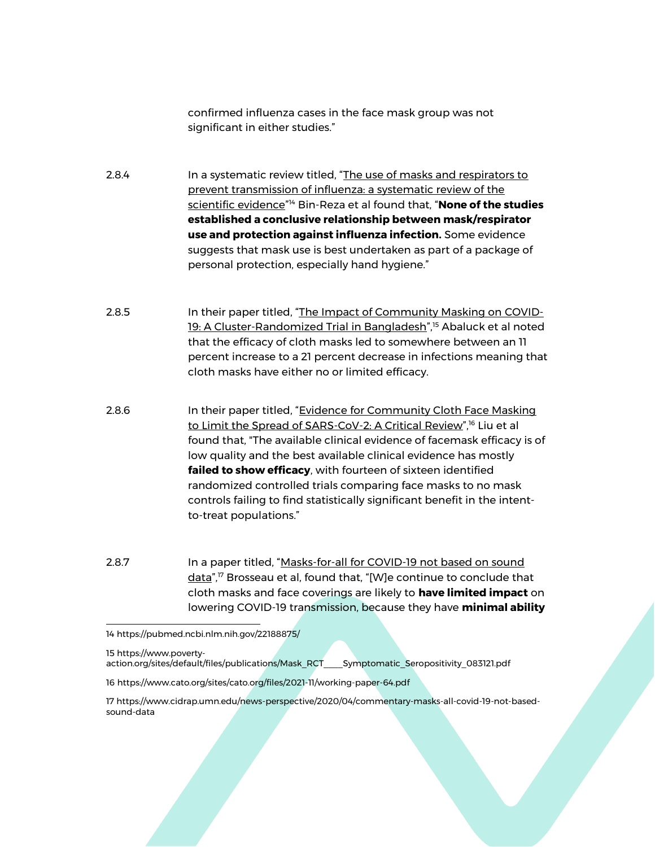confirmed influenza cases in the face mask group was not significant in either studies."

2.8.4 In a systematic review titled, "The use of masks and respirators to [prevent transmission of influenza: a systematic review of the](https://pubmed.ncbi.nlm.nih.gov/22188875/)  [scientific evidence](https://pubmed.ncbi.nlm.nih.gov/22188875/)" <sup>14</sup> Bin-Reza et al found that, "**None of the studies established a conclusive relationship between mask/respirator use and protection against influenza infection.** Some evidence suggests that mask use is best undertaken as part of a package of personal protection, especially hand hygiene."

2.8.5 In their paper titled, "[The Impact of Community Masking on](https://www.poverty-action.org/sites/default/files/publications/Mask_RCT____Symptomatic_Seropositivity_083121.pdf) COVID-[19: A Cluster-Randomized Trial in Bangladesh](https://www.poverty-action.org/sites/default/files/publications/Mask_RCT____Symptomatic_Seropositivity_083121.pdf)",<sup>15</sup> Abaluck et al noted that the efficacy of cloth masks led to somewhere between an 11 percent increase to a 21 percent decrease in infections meaning that cloth masks have either no or limited efficacy.

- 2.8.6 In their paper titled, "Evidence for Community Cloth Face Masking [to Limit the Spread of SARS-CoV-2: A Critical Review](https://www.cato.org/sites/cato.org/files/2021-11/working-paper-64.pdf)",<sup>16</sup> Liu et al found that, "The available clinical evidence of facemask efficacy is of low quality and the best available clinical evidence has mostly **failed to show efficacy**, with fourteen of sixteen identified randomized controlled trials comparing face masks to no mask controls failing to find statistically significant benefit in the intentto-treat populations."
- 2.8.7 In a paper titled, "Masks-for-all for COVID-19 not based on sound [data](https://www.cidrap.umn.edu/news-perspective/2020/04/commentary-masks-all-covid-19-not-based-sound-data)",<sup>17</sup> Brosseau et al, found that, "[W]e continue to conclude that cloth masks and face coverings are likely to **have limited impact** on lowering COVID-19 transmission, because they have **minimal ability**

15 https://www.povertyaction.org/sites/default/files/publications/Mask\_RCT\_\_\_\_Symptomatic\_Seropositivity\_083121.pdf

16 https://www.cato.org/sites/cato.org/files/2021-11/working-paper-64.pdf

17 https://www.cidrap.umn.edu/news-perspective/2020/04/commentary-masks-all-covid-19-not-basedsound-data

<sup>14</sup> https://pubmed.ncbi.nlm.nih.gov/22188875/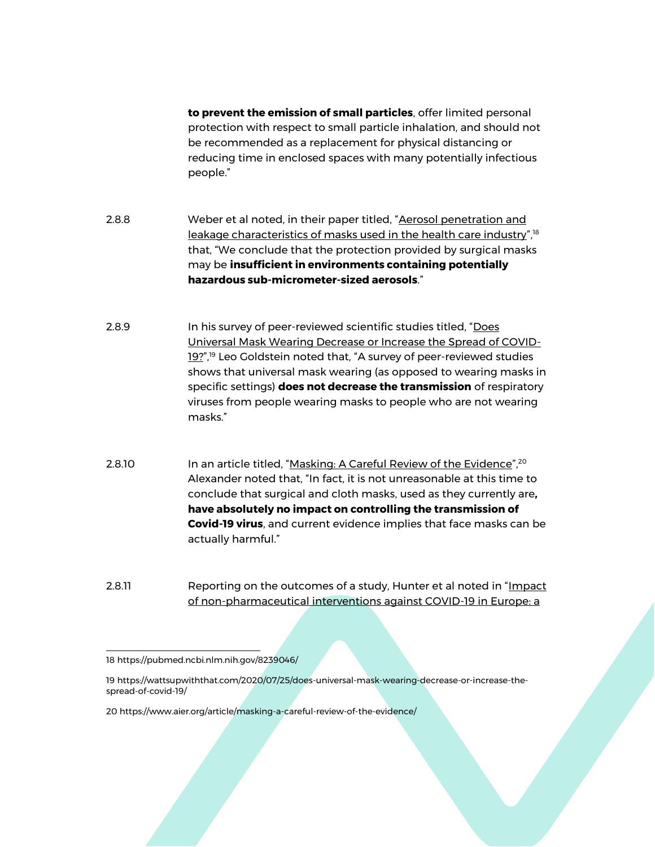**to prevent the emission of small particles**, offer limited personal protection with respect to small particle inhalation, and should not be recommended as a replacement for physical distancing or reducing time in enclosed spaces with many potentially infectious people."

2.8.8 Weber et al noted, in their paper titled, "Aerosol penetration and [leakage characteristics of masks used in the health care industry](https://pubmed.ncbi.nlm.nih.gov/8239046/)",<sup>18</sup> that, "We conclude that the protection provided by surgical masks may be **insufficient in environments containing potentially hazardous sub-micrometer-sized aerosols**."

- 2.8.9 In his survey of peer-reviewed scientific studies titled, "[Does](https://wattsupwiththat.com/2020/07/25/does-universal-mask-wearing-decrease-or-increase-the-spread-of-covid-19/)  [Universal Mask Wearing Decrease or Increase the Spread of COVID-](https://wattsupwiththat.com/2020/07/25/does-universal-mask-wearing-decrease-or-increase-the-spread-of-covid-19/)[19?](https://wattsupwiththat.com/2020/07/25/does-universal-mask-wearing-decrease-or-increase-the-spread-of-covid-19/)",<sup>19</sup> Leo Goldstein noted that, "A survey of peer-reviewed studies shows that universal mask wearing (as opposed to wearing masks in specific settings) **does not decrease the transmission** of respiratory viruses from people wearing masks to people who are not wearing masks."
- 2.8.10 In an article titled, "[Masking: A Careful Review of the Evidence](https://www.aier.org/article/masking-a-careful-review-of-the-evidence/)", <sup>20</sup> Alexander noted that, "In fact, it is not unreasonable at this time to conclude that surgical and cloth masks, used as they currently are**, have absolutely no impact on controlling the transmission of Covid-19 virus**, and current evidence implies that face masks can be actually harmful."
- 2.8.11 Reporting on the outcomes of a study, Hunter et al noted in "[Impact](https://www.medrxiv.org/content/10.1101/2020.05.01.20088260v1.full.pdf)  [of non-pharmaceutical interventions against COVID-19 in Europe: a](https://www.medrxiv.org/content/10.1101/2020.05.01.20088260v1.full.pdf)

<sup>18</sup> https://pubmed.ncbi.nlm.nih.gov/8239046/

<sup>19</sup> https://wattsupwiththat.com/2020/07/25/does-universal-mask-wearing-decrease-or-increase-thespread-of-covid-19/

<sup>20</sup> https://www.aier.org/article/masking-a-careful-review-of-the-evidence/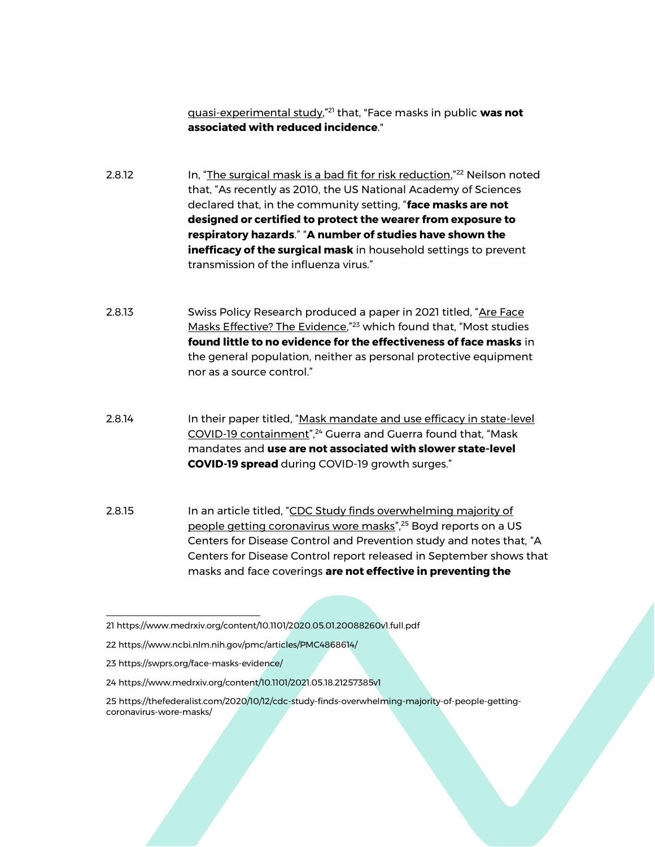[quasi-experimental study](https://www.medrxiv.org/content/10.1101/2020.05.01.20088260v1.full.pdf),"<sup>21</sup> that, "Face masks in public **was not associated with reduced incidence**."

2.8.12 In, "[The surgical mask is a bad fit for risk reduction](https://www.ncbi.nlm.nih.gov/pmc/articles/PMC4868614/),"<sup>22</sup> Neilson noted that, "As recently as 2010, the US National Academy of Sciences declared that, in the community setting, "**face masks are not designed or certified to protect the wearer from exposure to respiratory hazards**." "**A number of studies have shown the inefficacy of the surgical mask** in household settings to prevent transmission of the influenza virus."

2.8.13 Swiss Policy Research produced a paper in 2021 titled, "Are Face [Masks Effective? The Evidence](https://swprs.org/face-masks-evidence/),"<sup>23</sup> which found that, "Most studies **found little to no evidence for the effectiveness of face masks** in the general population, neither as personal protective equipment nor as a source control."

2.8.14 In their paper titled, "[Mask mandate and use efficacy in state-level](https://www.medrxiv.org/content/10.1101/2021.05.18.21257385v1)  [COVID-19 containment](https://www.medrxiv.org/content/10.1101/2021.05.18.21257385v1)",<sup>24</sup> Guerra and Guerra found that, "Mask mandates and **use are not associated with slower state-level COVID-19 spread** during COVID-19 growth surges."

2.8.15 In an article titled, "CDC Study finds overwhelming majority of [people getting coronavirus wore masks](https://thefederalist.com/2020/10/12/cdc-study-finds-overwhelming-majority-of-people-getting-coronavirus-wore-masks/)",<sup>25</sup> Boyd reports on a US Centers for Disease Control and Prevention study and notes that, "A Centers for Disease Control report released in September shows that masks and face coverings **are not effective in preventing the** 

21 https://www.medrxiv.org/content/10.1101/2020.05.01.20088260v1.full.pdf

22 https://www.ncbi.nlm.nih.gov/pmc/articles/PMC4868614/

- 23 https://swprs.org/face-masks-evidence/
- 24 https://www.medrxiv.org/content/10.1101/2021.05.18.21257385v1

<sup>25</sup> https://thefederalist.com/2020/10/12/cdc-study-finds-overwhelming-majority-of-people-gettingcoronavirus-wore-masks/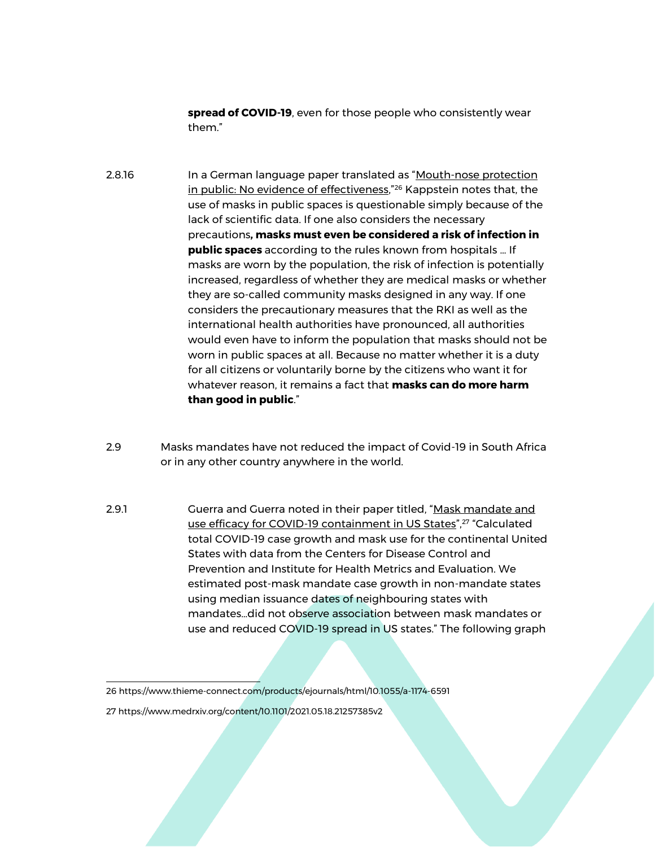**spread of COVID-19**, even for those people who consistently wear them."

2.8.16 In a German language paper translated as "Mouth-nose protection [in public: No evidence of effectiveness](https://www.thieme-connect.com/products/ejournals/html/10.1055/a-1174-6591),"<sup>26</sup> Kappstein notes that, the use of masks in public spaces is questionable simply because of the lack of scientific data. If one also considers the necessary precautions**, masks must even be considered a risk of infection in public spaces** according to the rules known from hospitals … If masks are worn by the population, the risk of infection is potentially increased, regardless of whether they are medical masks or whether they are so-called community masks designed in any way. If one considers the precautionary measures that the RKI as well as the international health authorities have pronounced, all authorities would even have to inform the population that masks should not be worn in public spaces at all. Because no matter whether it is a duty for all citizens or voluntarily borne by the citizens who want it for whatever reason, it remains a fact that **masks can do more harm than good in public**."

- 2.9 Masks mandates have not reduced the impact of Covid-19 in South Africa or in any other country anywhere in the world.
- 2.9.1 Guerra and Guerra noted in their paper titled, "[Mask mandate and](https://www.medrxiv.org/content/10.1101/2021.05.18.21257385v2)  [use efficacy for COVID-19 containment in US States](https://www.medrxiv.org/content/10.1101/2021.05.18.21257385v2)",<sup>27</sup> "Calculated total COVID-19 case growth and mask use for the continental United States with data from the Centers for Disease Control and Prevention and Institute for Health Metrics and Evaluation. We estimated post-mask mandate case growth in non-mandate states using median issuance dates of neighbouring states with mandates…did not observe association between mask mandates or use and reduced COVID-19 spread in US states." The following graph

26 https://www.thieme-connect.com/products/ejournals/html/10.1055/a-1174-6591

27 https://www.medrxiv.org/content/10.1101/2021.05.18.21257385v2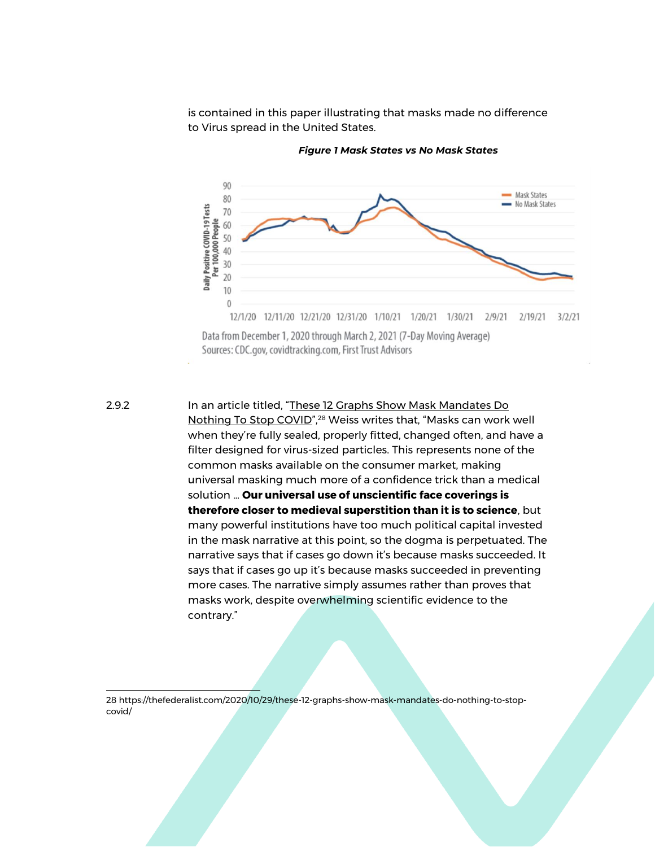is contained in this paper illustrating that masks made no difference to Virus spread in the United States.



*Figure 1 Mask States vs No Mask States*

Sources: CDC.gov, covidtracking.com, First Trust Advisors

2.9.2 In an article titled, "These 12 Graphs Show Mask Mandates Do [Nothing To Stop COVID](https://thefederalist.com/2020/10/29/these-12-graphs-show-mask-mandates-do-nothing-to-stop-covid/)",<sup>28</sup> Weiss writes that, "Masks can work well when they're fully sealed, properly fitted, changed often, and have a filter designed for virus-sized particles. This represents none of the common masks available on the consumer market, making universal masking much more of a confidence trick than a medical solution … **Our universal use of unscientific face coverings is therefore closer to medieval superstition than it is to science**, but many powerful institutions have too much political capital invested in the mask narrative at this point, so the dogma is perpetuated. The narrative says that if cases go down it's because masks succeeded. It says that if cases go up it's because masks succeeded in preventing more cases. The narrative simply assumes rather than proves that masks work, despite overwhelming scientific evidence to the contrary."

28 https://thefederalist.com/2020/10/29/these-12-graphs-show-mask-mandates-do-nothing-to-stopcovid/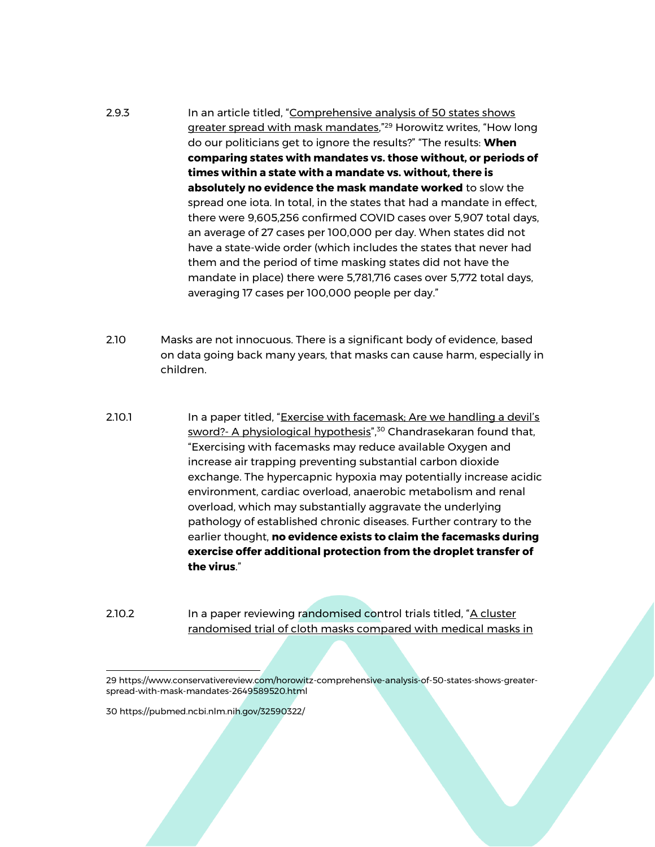- 2.9.3 In an article titled, "[Comprehensive analysis of 50 states shows](https://www.conservativereview.com/horowitz-comprehensive-analysis-of-50-states-shows-greater-spread-with-mask-mandates-2649589520.html)  [greater spread with mask mandates](https://www.conservativereview.com/horowitz-comprehensive-analysis-of-50-states-shows-greater-spread-with-mask-mandates-2649589520.html),"<sup>29</sup> Horowitz writes, "How long do our politicians get to ignore the results?" "The results: **When comparing states with mandates vs. those without, or periods of times within a state with a mandate vs. without, there is absolutely no evidence the mask mandate worked** to slow the spread one iota. In total, in the states that had a mandate in effect, there were 9,605,256 confirmed COVID cases over 5,907 total days, an average of 27 cases per 100,000 per day. When states did not have a state-wide order (which includes the states that never had them and the period of time masking states did not have the mandate in place) there were 5,781,716 cases over 5,772 total days, averaging 17 cases per 100,000 people per day."
- 2.10 Masks are not innocuous. There is a significant body of evidence, based on data going back many years, that masks can cause harm, especially in children.
- 2.10.1 In a paper titled, "Exercise with facemask; Are we handling a devil's sword?- [A physiological hypothesis](https://pubmed.ncbi.nlm.nih.gov/32590322/)",<sup>30</sup> Chandrasekaran found that, "Exercising with facemasks may reduce available Oxygen and increase air trapping preventing substantial carbon dioxide exchange. The hypercapnic hypoxia may potentially increase acidic environment, cardiac overload, anaerobic metabolism and renal overload, which may substantially aggravate the underlying pathology of established chronic diseases. Further contrary to the earlier thought, **no evidence exists to claim the facemasks during exercise offer additional protection from the droplet transfer of the virus**."
- 2.10.2 In a paper reviewing randomised control trials titled, "[A cluster](https://pubmed.ncbi.nlm.nih.gov/25903751/)  [randomised trial of cloth masks compared with medical masks in](https://pubmed.ncbi.nlm.nih.gov/25903751/)

29 https://www.conservativereview.com/horowitz-comprehensive-analysis-of-50-states-shows-greaterspread-with-mask-mandates-2649589520.html

30 https://pubmed.ncbi.nlm.nih.gov/32590322/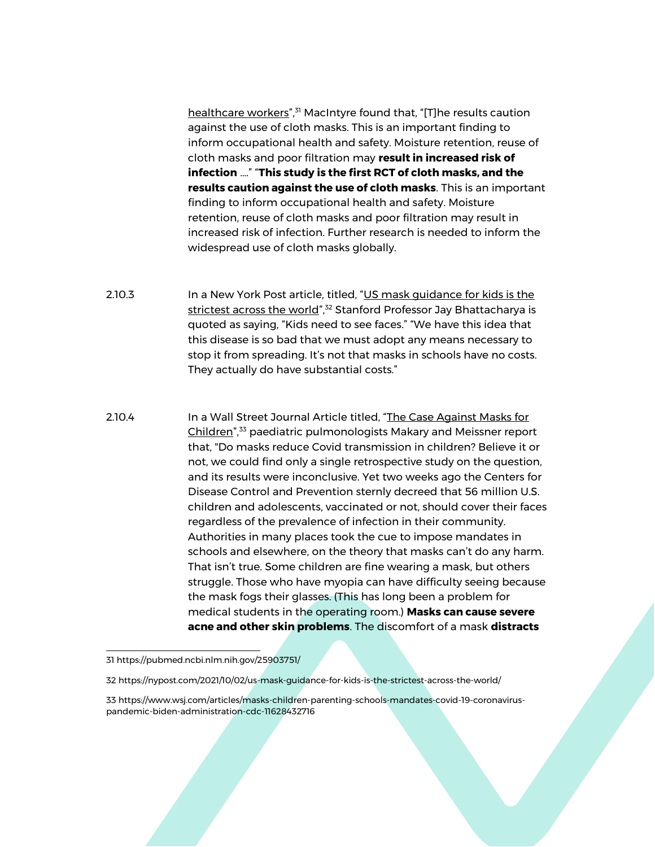[healthcare workers](https://pubmed.ncbi.nlm.nih.gov/25903751/)",<sup>31</sup> [MacIntyre](https://pubmed.ncbi.nlm.nih.gov/?term=MacIntyre+CR&cauthor_id=25903751) found that, "[T]he results caution against the use of cloth masks. This is an important finding to inform occupational health and safety. Moisture retention, reuse of cloth masks and poor filtration may **result in increased risk of infection** …." "**This study is the first RCT of cloth masks, and the results caution against the use of cloth masks**. This is an important finding to inform occupational health and safety. Moisture retention, reuse of cloth masks and poor filtration may result in increased risk of infection. Further research is needed to inform the widespread use of cloth masks globally.

- 2.10.3 In a New York Post article, titled, "US mask guidance for kids is the [strictest across the world](https://nypost.com/2021/10/02/us-mask-guidance-for-kids-is-the-strictest-across-the-world/)",<sup>32</sup> Stanford Professor Jay Bhattacharya is quoted as saying, "Kids need to see faces." "We have this idea that this disease is so bad that we must adopt any means necessary to stop it from spreading. It's not that masks in schools have no costs. They actually do have substantial costs."
- 2.10.4 In a Wall Street Journal Article titled, "The Case Against Masks for [Children](https://www.wsj.com/articles/masks-children-parenting-schools-mandates-covid-19-coronavirus-pandemic-biden-administration-cdc-11628432716)",<sup>33</sup> paediatric pulmonologists Makary and Meissner report that, "Do masks reduce Covid transmission in children? Believe it or not, we could find only a single retrospective study on the question, and its results were inconclusive. Yet two weeks ago the Centers for Disease Control and Prevention sternly decreed that 56 million U.S. children and adolescents, vaccinated or not, should cover their faces regardless of the prevalence of infection in their community. Authorities in many places took the cue to impose mandates in schools and elsewhere, on the theory that masks can't do any harm. That isn't true. Some children are fine wearing a mask, but others struggle. Those who have myopia can have difficulty seeing because the mask fogs their glasses. (This has long been a problem for medical students in the operating room.) **Masks can cause severe acne and other skin problems**. The discomfort of a mask **distracts**

<sup>31</sup> https://pubmed.ncbi.nlm.nih.gov/25903751/

<sup>32</sup> https://nypost.com/2021/10/02/us-mask-guidance-for-kids-is-the-strictest-across-the-world/

<sup>33</sup> https://www.wsj.com/articles/masks-children-parenting-schools-mandates-covid-19-coronaviruspandemic-biden-administration-cdc-11628432716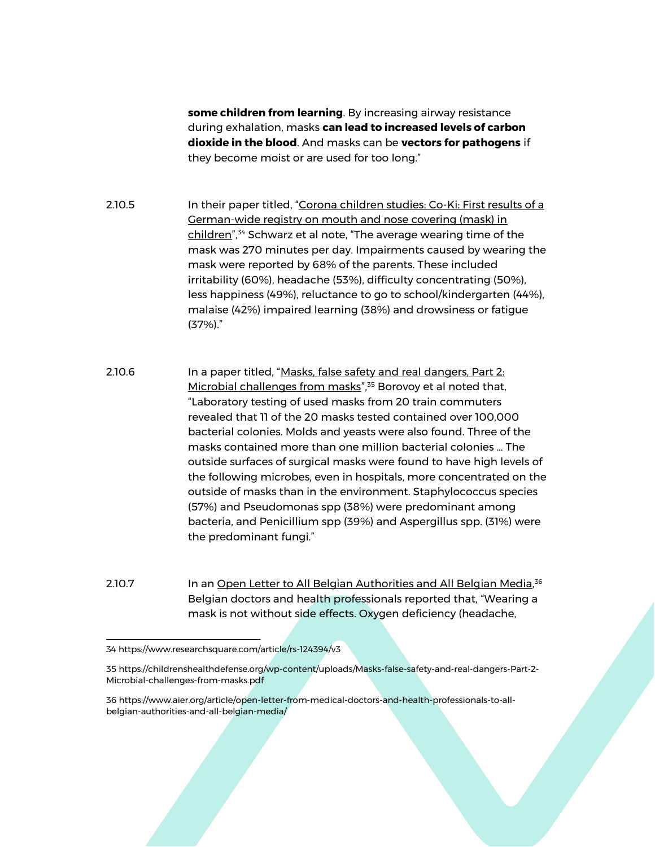**some children from learning**. By increasing airway resistance during exhalation, masks **can lead to increased levels of carbon dioxide in the blood**. And masks can be **vectors for pathogens** if they become moist or are used for too long."

2.10.5 In their paper titled, "Corona children studies: Co-Ki: First results of a [German-wide registry on mouth and nose covering \(mask\) in](https://www.researchsquare.com/article/rs-124394/v3)  [children](https://www.researchsquare.com/article/rs-124394/v3)",<sup>34</sup> Schwarz et al note, "The average wearing time of the mask was 270 minutes per day. Impairments caused by wearing the mask were reported by 68% of the parents. These included irritability (60%), headache (53%), difficulty concentrating (50%), less happiness (49%), reluctance to go to school/kindergarten (44%), malaise (42%) impaired learning (38%) and drowsiness or fatigue (37%)."

2.10.6 In a paper titled, "[Masks, false safety and real dangers, Part 2:](https://childrenshealthdefense.org/wp-content/uploads/Masks-false-safety-and-real-dangers-Part-2-Microbial-challenges-from-masks.pdf)  [Microbial challenges from masks](https://childrenshealthdefense.org/wp-content/uploads/Masks-false-safety-and-real-dangers-Part-2-Microbial-challenges-from-masks.pdf)",<sup>35</sup> Borovoy et al noted that, "Laboratory testing of used masks from 20 train commuters revealed that 11 of the 20 masks tested contained over 100,000 bacterial colonies. Molds and yeasts were also found. Three of the masks contained more than one million bacterial colonies … The outside surfaces of surgical masks were found to have high levels of the following microbes, even in hospitals, more concentrated on the outside of masks than in the environment. Staphylococcus species (57%) and Pseudomonas spp (38%) were predominant among bacteria, and Penicillium spp (39%) and Aspergillus spp. (31%) were the predominant fungi."

2.10.7 In an <u>Open Letter to All Belgian Authorities and All Belgian Media,<sup>36</sup></u> Belgian doctors and health professionals reported that, "Wearing a mask is not without side effects. Oxygen deficiency (headache,

<sup>34</sup> https://www.researchsquare.com/article/rs-124394/v3

<sup>35</sup> https://childrenshealthdefense.org/wp-content/uploads/Masks-false-safety-and-real-dangers-Part-2- Microbial-challenges-from-masks.pdf

<sup>36</sup> https://www.aier.org/article/open-letter-from-medical-doctors-and-health-professionals-to-allbelgian-authorities-and-all-belgian-media/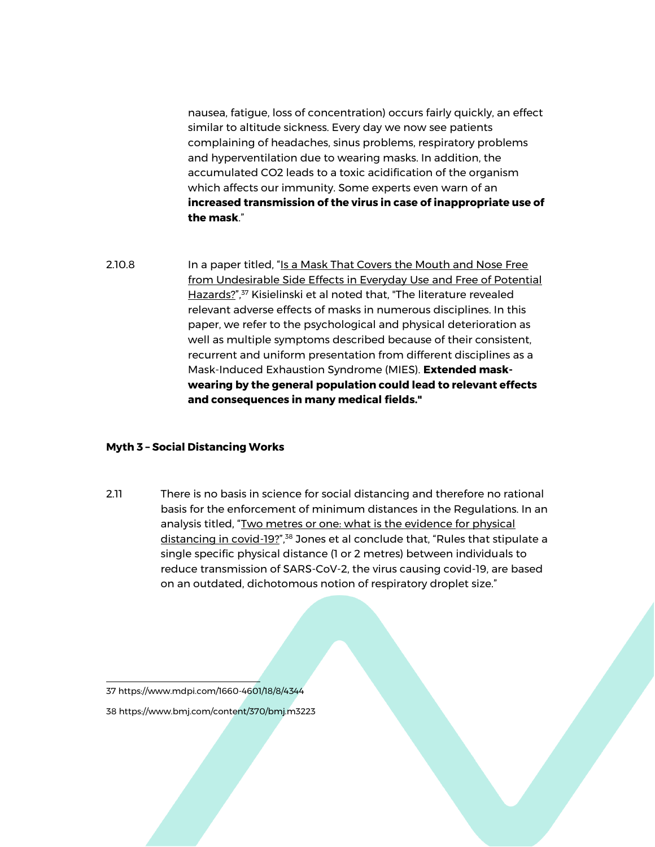nausea, fatigue, loss of concentration) occurs fairly quickly, an effect similar to altitude sickness. Every day we now see patients complaining of headaches, sinus problems, respiratory problems and hyperventilation due to wearing masks. In addition, the accumulated CO2 leads to a toxic acidification of the organism which affects our immunity. Some experts even warn of an **increased transmission of the virus in case of inappropriate use of the mask**."

2.10.8 In a paper titled, "Is a Mask That Covers the Mouth and Nose Free [from Undesirable Side Effects in Everyday Use and Free of Potential](https://www.mdpi.com/1660-4601/18/8/4344)  [Hazards?](https://www.mdpi.com/1660-4601/18/8/4344)",<sup>37</sup> Kisielinski et al noted that, "The literature revealed relevant adverse effects of masks in numerous disciplines. In this paper, we refer to the psychological and physical deterioration as well as multiple symptoms described because of their consistent, recurrent and uniform presentation from different disciplines as a Mask-Induced Exhaustion Syndrome (MIES). **Extended maskwearing by the general population could lead to relevant effects and consequences in many medical fields."**

#### **Myth 3 – Social Distancing Works**

2.11 There is no basis in science for social distancing and therefore no rational basis for the enforcement of minimum distances in the Regulations. In an analysis titled, "Two metres or one: what is the evidence for physical [distancing in covid-19?](https://www.bmj.com/content/370/bmj.m3223)",<sup>38</sup> Jones et al conclude that, "Rules that stipulate a single specific physical distance (1 or 2 metres) between individuals to reduce transmission of SARS-CoV-2, the virus causing covid-19, are based on an outdated, dichotomous notion of respiratory droplet size."

37 https://www.mdpi.com/1660-4601/18/8/4344

38 https://www.bmj.com/content/370/bmj.m3223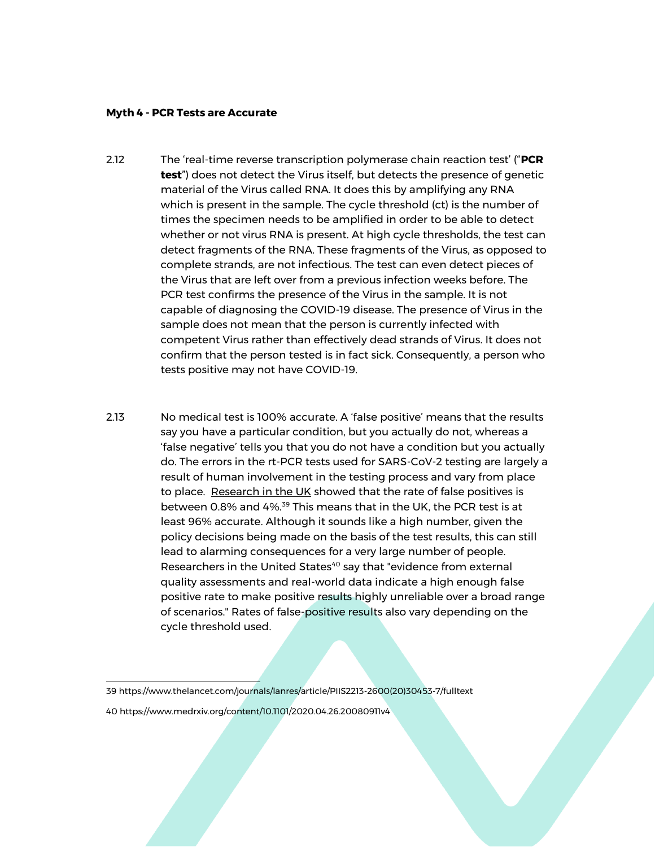#### **Myth 4 - PCR Tests are Accurate**

- 2.12 The 'real-time reverse transcription polymerase chain reaction test' ("**PCR test**") does not detect the Virus itself, but detects the presence of genetic material of the Virus called RNA. It does this by amplifying any RNA which is present in the sample. The cycle threshold (ct) is the number of times the specimen needs to be amplified in order to be able to detect whether or not virus RNA is present. At high cycle thresholds, the test can detect fragments of the RNA. These fragments of the Virus, as opposed to complete strands, are not infectious. The test can even detect pieces of the Virus that are left over from a previous infection weeks before. The PCR test confirms the presence of the Virus in the sample. It is not capable of diagnosing the COVID-19 disease. The presence of Virus in the sample does not mean that the person is currently infected with competent Virus rather than effectively dead strands of Virus. It does not confirm that the person tested is in fact sick. Consequently, a person who tests positive may not have COVID-19.
- 2.13 No medical test is 100% accurate. A 'false positive' means that the results say you have a particular condition, but you actually do not, whereas a 'false negative' tells you that you do not have a condition but you actually do. The errors in the rt-PCR tests used for SARS-CoV-2 testing are largely a result of human involvement in the testing process and vary from place to place. [Research in the UK](https://www.thelancet.com/journals/lanres/article/PIIS2213-2600(20)30453-7/fulltext) showed that the rate of false positives is between 0.8% and 4%.<sup>39</sup> This means that in the UK, the PCR test is at least 96% accurate. Although it sounds like a high number, given the policy decisions being made on the basis of the test results, this can still lead to alarming consequences for a very large number of people. [Researchers in the United States](https://www.medrxiv.org/content/10.1101/2020.04.26.20080911v4)<sup>40</sup> say that "evidence from external quality assessments and real-world data indicate a high enough false positive rate to make positive results highly unreliable over a broad range of scenarios." Rates of false-positive results also vary depending on the cycle threshold used.

39 https://www.thelancet.com/journals/lanres/article/PIIS2213-2600(20)30453-7/fulltext

40 https://www.medrxiv.org/content/10.1101/2020.04.26.20080911v4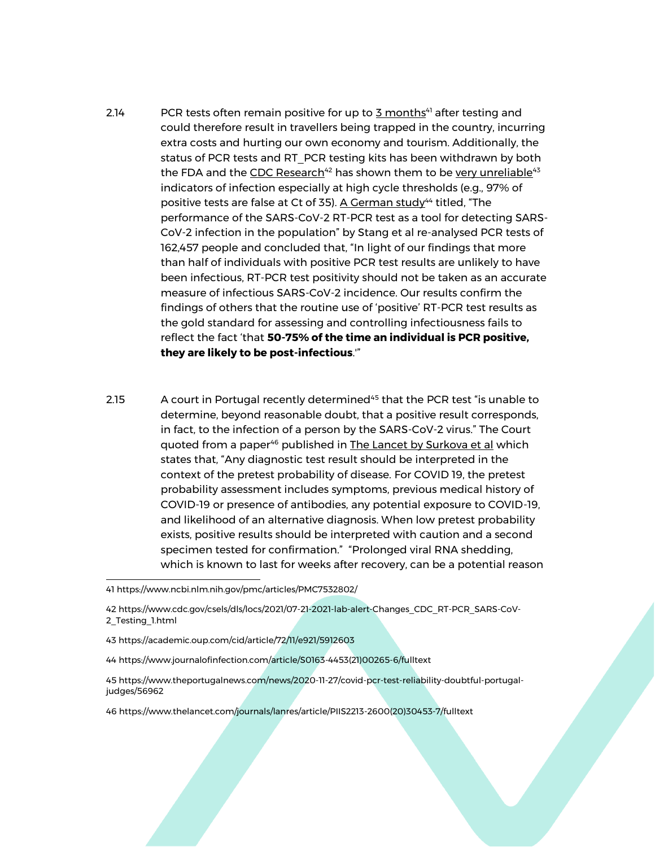- 2.14 PCR tests often remain positive for up to [3 months](https://www.ncbi.nlm.nih.gov/pmc/articles/PMC7532802/) $41$  after testing and could therefore result in travellers being trapped in the country, incurring extra costs and hurting our own economy and tourism. Additionally, the status of PCR tests and RT\_PCR testing kits has been withdrawn by both the FDA and the [CDC Research](https://www.cdc.gov/csels/dls/locs/2021/07-21-2021-lab-alert-Changes_CDC_RT-PCR_SARS-CoV-2_Testing_1.html)<sup>42</sup> has shown them to be [very unreliable](https://academic.oup.com/cid/article/72/11/e921/5912603)<sup>43</sup> indicators of infection especially at high cycle thresholds (e.g., 97% of positive tests are false at Ct of 35). [A German study](https://www.journalofinfection.com/article/S0163-4453(21)00265-6/fulltext)<sup>44</sup> titled, "The performance of the SARS-CoV-2 RT-PCR test as a tool for detecting SARS-CoV-2 infection in the population" by Stang et al re-analysed PCR tests of 162,457 people and concluded that, "In light of our findings that more than half of individuals with positive PCR test results are unlikely to have been infectious, RT-PCR test positivity should not be taken as an accurate measure of infectious SARS-CoV-2 incidence. Our results confirm the findings of others that the routine use of 'positive' RT-PCR test results as the gold standard for assessing and controlling infectiousness fails to reflect the fact 'that **50-75% of the time an individual is PCR positive, they are likely to be post-infectious**.'"
- 2.15 A court in Portugal recently determined<sup>45</sup> that the PCR test "is unable to determine, beyond reasonable doubt, that a positive result corresponds, in fact, to the infection of a person by the SARS-CoV-2 virus." The Court quoted from a paper<sup>46</sup> published in **The Lancet by Surkova et al which** states that, "Any diagnostic test result should be interpreted in the context of the pretest probability of disease. For COVID 19, the pretest probability assessment includes symptoms, previous medical history of COVID-19 or presence of antibodies, any potential exposure to COVID-19, and likelihood of an alternative diagnosis. When low pretest probability exists, positive results should be interpreted with caution and a second specimen tested for confirmation." "Prolonged viral RNA shedding, which is known to last for weeks after recovery, can be a potential reason

46 https://www.thelancet.com/journals/lanres/article/PIIS2213-2600(20)30453-7/fulltext

<sup>41</sup> https://www.ncbi.nlm.nih.gov/pmc/articles/PMC7532802/

<sup>42</sup> https://www.cdc.gov/csels/dls/locs/2021/07-21-2021-lab-alert-Changes\_CDC\_RT-PCR\_SARS-CoV-2\_Testing\_1.html

<sup>43</sup> https://academic.oup.com/cid/article/72/11/e921/5912603

<sup>44</sup> https://www.journalofinfection.com/article/S0163-4453(21)00265-6/fulltext

<sup>45</sup> https://www.theportugalnews.com/news/2020-11-27/covid-pcr-test-reliability-doubtful-portugaljudges/56962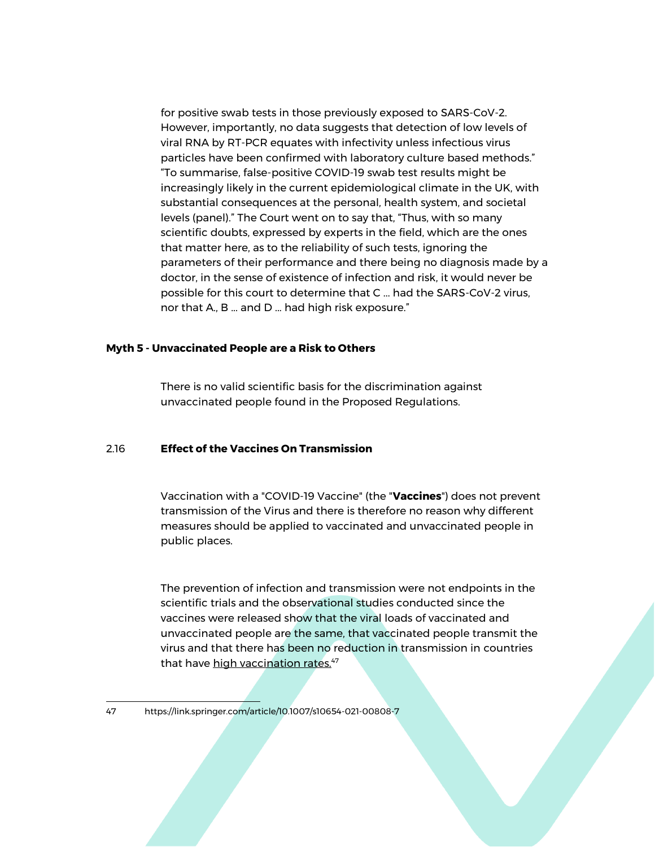for positive swab tests in those previously exposed to SARS-CoV-2. However, importantly, no data suggests that detection of low levels of viral RNA by RT-PCR equates with infectivity unless infectious virus particles have been confirmed with laboratory culture based methods." "To summarise, false-positive COVID-19 swab test results might be increasingly likely in the current epidemiological climate in the UK, with substantial consequences at the personal, health system, and societal levels (panel)." The Court went on to say that, "Thus, with so many scientific doubts, expressed by experts in the field, which are the ones that matter here, as to the reliability of such tests, ignoring the parameters of their performance and there being no diagnosis made by a doctor, in the sense of existence of infection and risk, it would never be possible for this court to determine that C ... had the SARS-CoV-2 virus, nor that A., B ... and D ... had high risk exposure."

#### **Myth 5 - Unvaccinated People are a Risk to Others**

There is no valid scientific basis for the discrimination against unvaccinated people found in the Proposed Regulations.

#### 2.16 **Effect of the Vaccines On Transmission**

Vaccination with a "COVID-19 Vaccine" (the "**Vaccines**") does not prevent transmission of the Virus and there is therefore no reason why different measures should be applied to vaccinated and unvaccinated people in public places.

The prevention of infection and transmission were not endpoints in the scientific trials and the observational studies conducted since the vaccines were released show that the viral loads of vaccinated and unvaccinated people are the same, that vaccinated people transmit the virus and that there has been no reduction in transmission in countries that have [high vaccination rates.](https://link.springer.com/article/10.1007/s10654-021-00808-7)<sup>47</sup>

<sup>47</sup> https://link.springer.com/article/10.1007/s10654-021-00808-7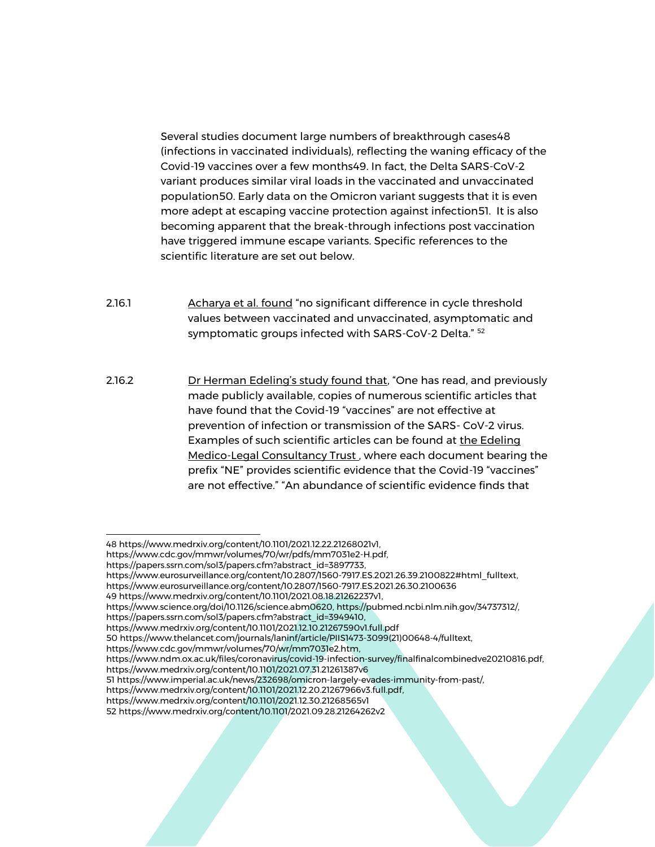Several studies document large numbers of breakthrough cases48 (infections in vaccinated individuals), reflecting the waning efficacy of the Covid-19 vaccines over a few months49. In fact, the Delta SARS-CoV-2 variant produces similar viral loads in the vaccinated and unvaccinated population50. Early data on the Omicron variant suggests that it is even more adept at escaping vaccine protection against infection51. It is also becoming apparent that the break-through infections post vaccination have triggered immune escape variants. Specific references to the scientific literature are set out below.

- 2.16.1 **[Acharya et al. found](https://www.medrxiv.org/content/10.1101/2021.09.28.21264262v2)** "no significant difference in cycle threshold values between vaccinated and unvaccinated, asymptomatic and symptomatic groups infected with SARS-CoV-2 Delta." <sup>52</sup>
- 2.16.2 [Dr Herman Edeling's study found that,](https://emlct.com/index.php/covid-19-documents/) "One has read, and previously made publicly available, copies of numerous scientific articles that have found that the Covid-19 "vaccines" are not effective at prevention of infection or transmission of the SARS- CoV-2 virus. Examples of such scientific articles can be found at the Edeling [Medico-Legal Consultancy Trust ,](https://emlct.com/index.php/covid-19-documents/) where each document bearing the prefix "NE" provides scientific evidence that the Covid-19 "vaccines" are not effective." "An abundance of scientific evidence finds that

<sup>48</sup> https://www.medrxiv.org/content/10.1101/2021.12.22.21268021v1,

https://www.cdc.gov/mmwr/volumes/70/wr/pdfs/mm7031e2-H.pdf,

https://papers.ssrn.com/sol3/papers.cfm?abstract\_id=3897733,

https://www.eurosurveillance.org/content/10.2807/1560-7917.ES.2021.26.39.2100822#html\_fulltext,

https://www.eurosurveillance.org/content/10.2807/1560-7917.ES.2021.26.30.2100636

<sup>49</sup> https://www.medrxiv.org/content/10.1101/2021.08.18.21262237v1,

https://www.science.org/doi/10.1126/science.abm0620, https://pubmed.ncbi.nlm.nih.gov/34737312/,

https://papers.ssrn.com/sol3/papers.cfm?abstract\_id=3949410,

https://www.medrxiv.org/content/10.1101/2021.12.10.21267590v1.full.pdf

<sup>50</sup> https://www.thelancet.com/journals/laninf/article/PIIS1473-3099(21)00648-4/fulltext, https://www.cdc.gov/mmwr/volumes/70/wr/mm7031e2.htm,

https://www.ndm.ox.ac.uk/files/coronavirus/covid-19-infection-survey/finalfinalcombinedve20210816.pdf,

https://www.medrxiv.org/content/10.1101/2021.07.31.21261387v6

<sup>51</sup> https://www.imperial.ac.uk/news/232698/omicron-largely-evades-immunity-from-past/,

https://www.medrxiv.org/content/10.1101/2021.12.20.21267966v3.full.pdf,

https://www.medrxiv.org/content/10.1101/2021.12.30.21268565v1

<sup>52</sup> https://www.medrxiv.org/content/10.1101/2021.09.28.21264262v2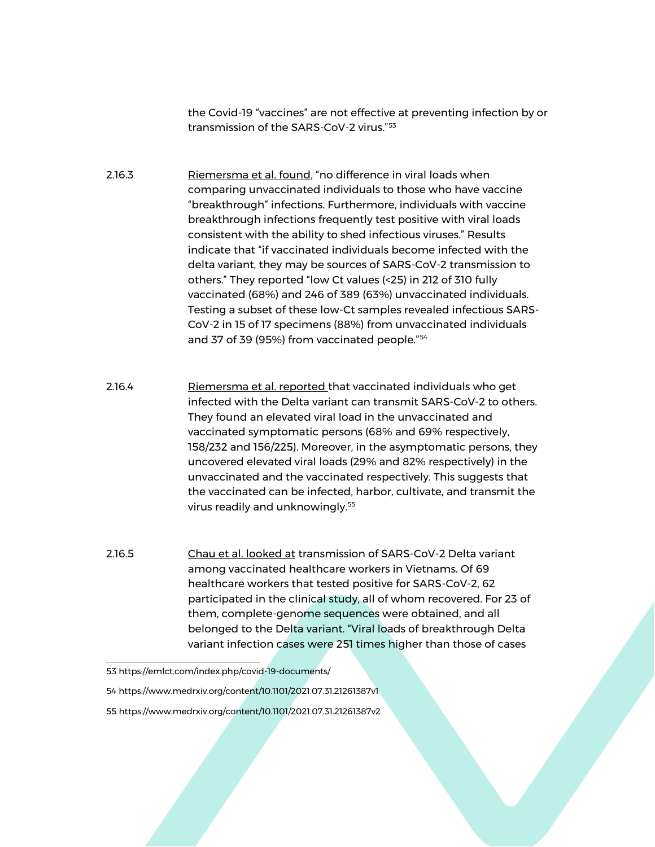the Covid-19 "vaccines" are not effective at preventing infection by or transmission of the SARS-CoV-2 virus."<sup>53</sup>

2.16.3 [Riemersma et al. found](https://www.medrxiv.org/content/10.1101/2021.07.31.21261387v1), "no difference in viral loads when comparing unvaccinated individuals to those who have vaccine "breakthrough" infections. Furthermore, individuals with vaccine breakthrough infections frequently test positive with viral loads consistent with the ability to shed infectious viruses." Results indicate that "if vaccinated individuals become infected with the delta variant, they may be sources of SARS-CoV-2 transmission to others." They reported "low Ct values (<25) in 212 of 310 fully vaccinated (68%) and 246 of 389 (63%) unvaccinated individuals. Testing a subset of these low-Ct samples revealed infectious SARS-CoV-2 in 15 of 17 specimens (88%) from unvaccinated individuals and 37 of 39 (95%) from vaccinated people."<sup>54</sup>

2.16.4 [Riemersma et al. reported t](https://www.medrxiv.org/content/10.1101/2021.07.31.21261387v2)hat vaccinated individuals who get infected with the Delta variant can transmit SARS-CoV-2 to others. They found an elevated viral load in the unvaccinated and vaccinated symptomatic persons (68% and 69% respectively, 158/232 and 156/225). Moreover, in the asymptomatic persons, they uncovered elevated viral loads (29% and 82% respectively) in the unvaccinated and the vaccinated respectively. This suggests that the vaccinated can be infected, harbor, cultivate, and transmit the virus readily and unknowingly.<sup>55</sup>

2.16.5 [Chau et al. looked at](https://papers.ssrn.com/sol3/papers.cfm?abstract_id=3897733) transmission of SARS-CoV-2 Delta variant among vaccinated healthcare workers in Vietnams. Of 69 healthcare workers that tested positive for SARS-CoV-2, 62 participated in the clinical study, all of whom recovered. For 23 of them, complete-genome sequences were obtained, and all belonged to the Delta variant. "Viral loads of breakthrough Delta variant infection cases were 251 times higher than those of cases

- 54 https://www.medrxiv.org/content/10.1101/2021.07.31.21261387v1
- 55 https://www.medrxiv.org/content/10.1101/2021.07.31.21261387v2

<sup>53</sup> https://emlct.com/index.php/covid-19-documents/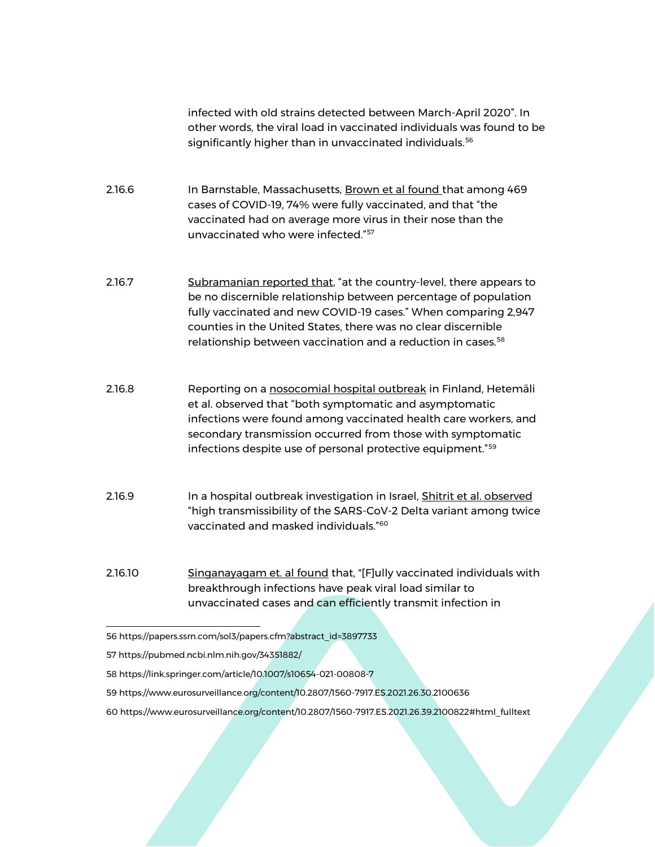infected with old strains detected between March-April 2020". In other words, the viral load in vaccinated individuals was found to be significantly higher than in unvaccinated individuals.<sup>56</sup>

2.16.6 In Barnstable, Massachusetts, [Brown et al found t](https://pubmed.ncbi.nlm.nih.gov/34351882/)hat among 469 cases of COVID-19, 74% were fully vaccinated, and that "the vaccinated had on average more virus in their nose than the unvaccinated who were infected."<sup>57</sup>

- 2.16.7 [Subramanian reported that,](https://link.springer.com/article/10.1007/s10654-021-00808-7) "at the country-level, there appears to be no discernible relationship between percentage of population fully vaccinated and new COVID-19 cases." When comparing 2,947 counties in the United States, there was no clear discernible relationship between vaccination and a reduction in cases.<sup>58</sup>
- 2.16.8 Reporting on a [nosocomial hospital outbreak](https://www.eurosurveillance.org/content/10.2807/1560-7917.ES.2021.26.30.2100636) in Finland, Hetemäli et al. observed that "both symptomatic and asymptomatic infections were found among vaccinated health care workers, and secondary transmission occurred from those with symptomatic infections despite use of personal protective equipment."<sup>59</sup>
- 2.16.9 In a hospital outbreak investigation in Israel, [Shitrit et al. observed](https://www.eurosurveillance.org/content/10.2807/1560-7917.ES.2021.26.39.2100822#html_fulltext) "high transmissibility of the SARS-CoV-2 Delta variant among twice vaccinated and masked individuals."<sup>60</sup>
- 2.16.10 [Singanayagam et. al found](https://www.thelancet.com/journals/laninf/article/PIIS1473-3099(21)00648-4/fulltext) that, "[F]ully vaccinated individuals with breakthrough infections have peak viral load similar to unvaccinated cases and can efficiently transmit infection in

- 59 https://www.eurosurveillance.org/content/10.2807/1560-7917.ES.2021.26.30.2100636
- 60 https://www.eurosurveillance.org/content/10.2807/1560-7917.ES.2021.26.39.2100822#html\_fulltext

<sup>56</sup> https://papers.ssrn.com/sol3/papers.cfm?abstract\_id=3897733

<sup>57</sup> https://pubmed.ncbi.nlm.nih.gov/34351882/

<sup>58</sup> https://link.springer.com/article/10.1007/s10654-021-00808-7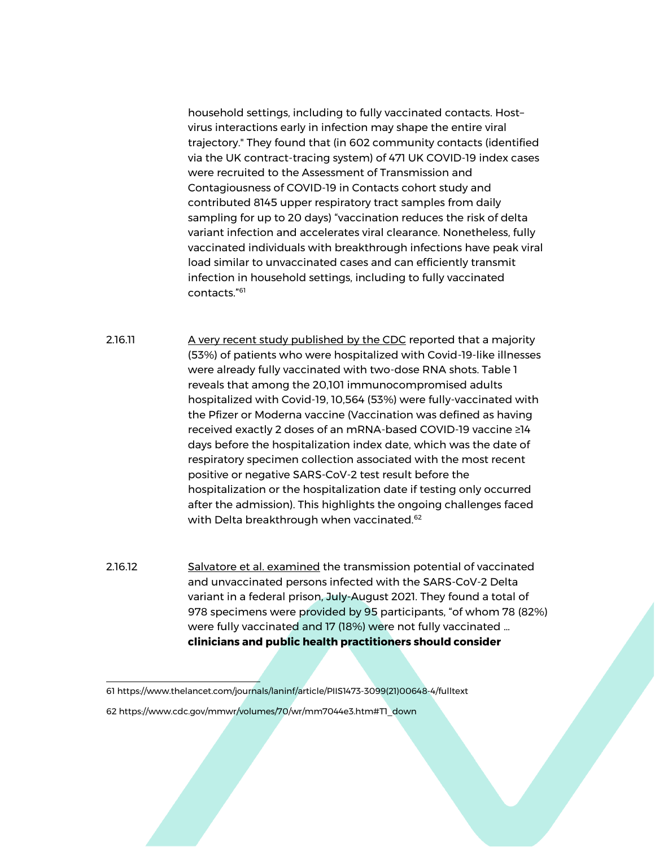household settings, including to fully vaccinated contacts. Host– virus interactions early in infection may shape the entire viral trajectory." They found that (in 602 community contacts (identified via the UK contract-tracing system) of 471 UK COVID-19 index cases were recruited to the Assessment of Transmission and Contagiousness of COVID-19 in Contacts cohort study and contributed 8145 upper respiratory tract samples from daily sampling for up to 20 days) "vaccination reduces the risk of delta variant infection and accelerates viral clearance. Nonetheless, fully vaccinated individuals with breakthrough infections have peak viral load similar to unvaccinated cases and can efficiently transmit infection in household settings, including to fully vaccinated contacts."<sup>61</sup>

- 2.16.11 [A very recent study published by the CDC](https://www.cdc.gov/mmwr/volumes/70/wr/mm7044e3.htm#T1_down) reported that a majority (53%) of patients who were hospitalized with Covid-19-like illnesses were already fully vaccinated with two-dose RNA shots. Table 1 reveals that among the 20,101 immunocompromised adults hospitalized with Covid-19, 10,564 (53%) were fully-vaccinated with the Pfizer or Moderna vaccine (Vaccination was defined as having received exactly 2 doses of an mRNA-based COVID-19 vaccine ≥14 days before the hospitalization index date, which was the date of respiratory specimen collection associated with the most recent positive or negative SARS-CoV-2 test result before the hospitalization or the hospitalization date if testing only occurred after the admission). This highlights the ongoing challenges faced with Delta breakthrough when vaccinated.<sup>62</sup>
- 2.16.12 [Salvatore et al. examined](https://www.medrxiv.org/content/10.1101/2021.11.12.21265796v1) the transmission potential of vaccinated and unvaccinated persons infected with the SARS-CoV-2 Delta variant in a federal prison, July-August 2021. They found a total of 978 specimens were provided by 95 participants, "of whom 78 (82%) were fully vaccinated and 17 (18%) were not fully vaccinated … **clinicians and public health practitioners should consider**

62 https://www.cdc.gov/mmwr/volumes/70/wr/mm7044e3.htm#T1\_down

<sup>61</sup> https://www.thelancet.com/journals/laninf/article/PIIS1473-3099(21)00648-4/fulltext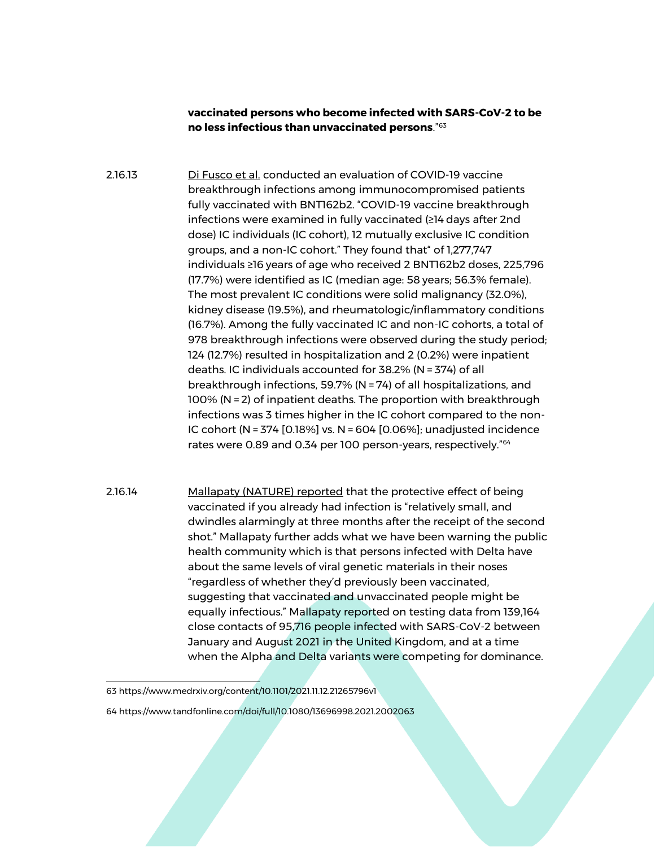**vaccinated persons who become infected with SARS-CoV-2 to be no less infectious than unvaccinated persons**."<sup>63</sup>

2.16.13 **[Di Fusco et al.](https://www.tandfonline.com/doi/full/10.1080/13696998.2021.2002063) conducted an evaluation of COVID-19 vaccine** breakthrough infections among immunocompromised patients fully vaccinated with BNT162b2. "COVID-19 vaccine breakthrough infections were examined in fully vaccinated (≥14 days after 2nd dose) IC individuals (IC cohort), 12 mutually exclusive IC condition groups, and a non-IC cohort." They found that" of 1,277,747 individuals ≥16 years of age who received 2 BNT162b2 doses, 225,796 (17.7%) were identified as IC (median age: 58 years; 56.3% female). The most prevalent IC conditions were solid malignancy (32.0%), kidney disease (19.5%), and rheumatologic/inflammatory conditions (16.7%). Among the fully vaccinated IC and non-IC cohorts, a total of 978 breakthrough infections were observed during the study period; 124 (12.7%) resulted in hospitalization and 2 (0.2%) were inpatient deaths. IC individuals accounted for 38.2% (N = 374) of all breakthrough infections, 59.7% (N = 74) of all hospitalizations, and 100% (N = 2) of inpatient deaths. The proportion with breakthrough infections was 3 times higher in the IC cohort compared to the non-IC cohort (N = 374 [0.18%] vs. N = 604 [0.06%]; unadjusted incidence rates were 0.89 and 0.34 per 100 person-years, respectively."<sup>64</sup>

2.16.14 [Mallapaty \(NATURE\) reported](https://www.nature.com/articles/d41586-021-02689-y) that the protective effect of being vaccinated if you already had infection is "relatively small, and dwindles alarmingly at three months after the receipt of the second shot." Mallapaty further adds what we have been warning the public health community which is that persons infected with Delta have about the same levels of viral genetic materials in their noses "regardless of whether they'd previously been vaccinated, suggesting that vaccinated and unvaccinated people might be equally infectious." Mallapaty reported on testing data from 139,164 close contacts of 95,716 people infected with SARS-CoV-2 between January and August 2021 in the United Kingdom, and at a time when the Alpha and Delta variants were competing for dominance.

63 https://www.medrxiv.org/content/10.1101/2021.11.12.21265796v1

64 https://www.tandfonline.com/doi/full/10.1080/13696998.2021.2002063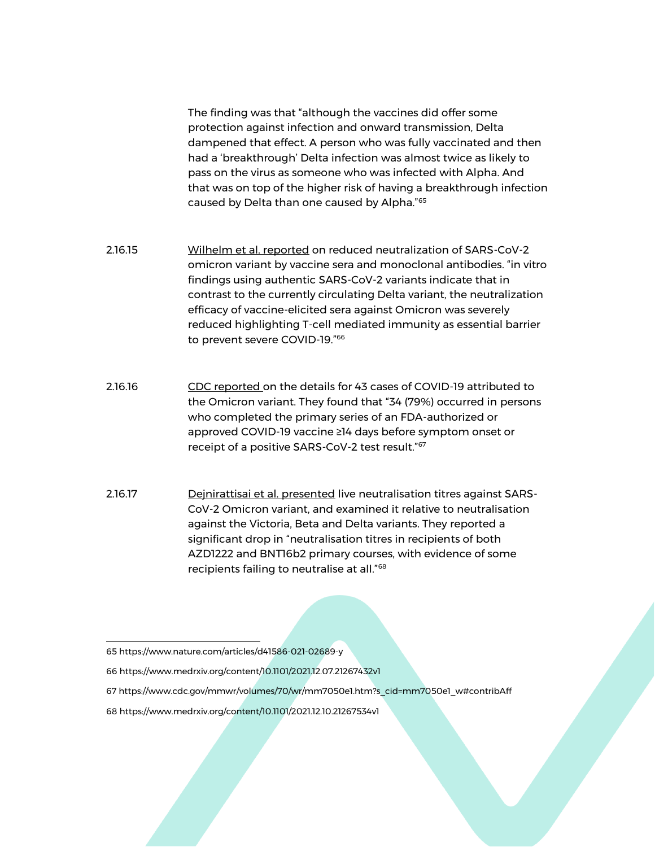The finding was that "although the vaccines did offer some protection against infection and onward transmission, Delta dampened that effect. A person who was fully vaccinated and then had a 'breakthrough' Delta infection was almost twice as likely to pass on the virus as someone who was infected with Alpha. And that was on top of the higher risk of having a breakthrough infection caused by Delta than one caused by Alpha."<sup>65</sup>

- 2.16.15 [Wilhelm et al. reported](https://www.medrxiv.org/content/10.1101/2021.12.07.21267432v1) on reduced neutralization of SARS-CoV-2 omicron variant by vaccine sera and monoclonal antibodies. "in vitro findings using authentic SARS-CoV-2 variants indicate that in contrast to the currently circulating Delta variant, the neutralization efficacy of vaccine-elicited sera against Omicron was severely reduced highlighting T-cell mediated immunity as essential barrier to prevent severe COVID-19."<sup>66</sup>
- 2.16.16 [CDC reported o](https://www.cdc.gov/mmwr/volumes/70/wr/mm7050e1.htm?s_cid=mm7050e1_w#contribAff)n the details for 43 cases of COVID-19 attributed to the Omicron variant. They found that "34 (79%) occurred in persons who completed the primary series of an FDA-authorized or approved COVID-19 vaccine ≥14 days before symptom onset or receipt of a positive SARS-CoV-2 test result."<sup>67</sup>
- 2.16.17 [Dejnirattisai et al. presented](https://www.medrxiv.org/content/10.1101/2021.12.10.21267534v1) live neutralisation titres against SARS-CoV-2 Omicron variant, and examined it relative to neutralisation against the Victoria, Beta and Delta variants. They reported a significant drop in "neutralisation titres in recipients of both AZD1222 and BNT16b2 primary courses, with evidence of some recipients failing to neutralise at all."<sup>68</sup>

- 67 https://www.cdc.gov/mmwr/volumes/70/wr/mm7050e1.htm?s\_cid=mm7050e1\_w#contribAff
- 68 https://www.medrxiv.org/content/10.1101/2021.12.10.21267534v1

<sup>65</sup> https://www.nature.com/articles/d41586-021-02689-y

<sup>66</sup> https://www.medrxiv.org/content/10.1101/2021.12.07.21267432v1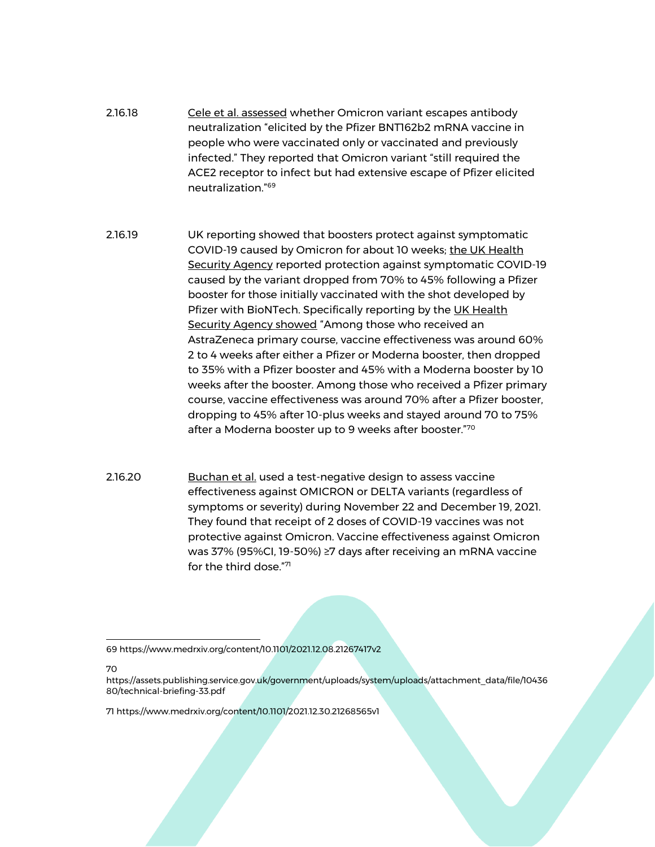- 2.16.18 [Cele et al. assessed](https://www.medrxiv.org/content/10.1101/2021.12.08.21267417v2) whether Omicron variant escapes antibody neutralization "elicited by the Pfizer BNT162b2 mRNA vaccine in people who were vaccinated only or vaccinated and previously infected." They reported that Omicron variant "still required the ACE2 receptor to infect but had extensive escape of Pfizer elicited neutralization."<sup>69</sup>
- 2.16.19 UK reporting showed that boosters protect against symptomatic COVID-19 caused by Omicron for about 10 weeks; [the UK Health](https://assets.publishing.service.gov.uk/government/uploads/system/uploads/attachment_data/file/1043680/technical-briefing-33.pdf)  [Security Agency](https://assets.publishing.service.gov.uk/government/uploads/system/uploads/attachment_data/file/1043680/technical-briefing-33.pdf) reported protection against symptomatic COVID-19 caused by the variant dropped from 70% to 45% following a Pfizer booster for those initially vaccinated with the shot developed by Pfizer with BioNTech. Specifically reporting by the [UK Health](https://assets.publishing.service.gov.uk/government/uploads/system/uploads/attachment_data/file/1043807/technical-briefing-33.pdf)  [Security Agency showed](https://assets.publishing.service.gov.uk/government/uploads/system/uploads/attachment_data/file/1043807/technical-briefing-33.pdf) "Among those who received an AstraZeneca primary course, vaccine effectiveness was around 60% 2 to 4 weeks after either a Pfizer or Moderna booster, then dropped to 35% with a Pfizer booster and 45% with a Moderna booster by 10 weeks after the booster. Among those who received a Pfizer primary course, vaccine effectiveness was around 70% after a Pfizer booster, dropping to 45% after 10-plus weeks and stayed around 70 to 75% after a Moderna booster up to 9 weeks after booster."<sup>70</sup>
- 2.16.20 [Buchan et al.](https://www.medrxiv.org/content/10.1101/2021.12.30.21268565v1) used a test-negative design to assess vaccine effectiveness against OMICRON or DELTA variants (regardless of symptoms or severity) during November 22 and December 19, 2021. They found that receipt of 2 doses of COVID-19 vaccines was not protective against Omicron. Vaccine effectiveness against Omicron was 37% (95%CI, 19-50%) ≥7 days after receiving an mRNA vaccine for the third dose."<sup>71</sup>

69 https://www.medrxiv.org/content/10.1101/2021.12.08.21267417v2

70

71 https://www.medrxiv.org/content/10.1101/2021.12.30.21268565v1

https://assets.publishing.service.gov.uk/government/uploads/system/uploads/attachment\_data/file/10436 80/technical-briefing-33.pdf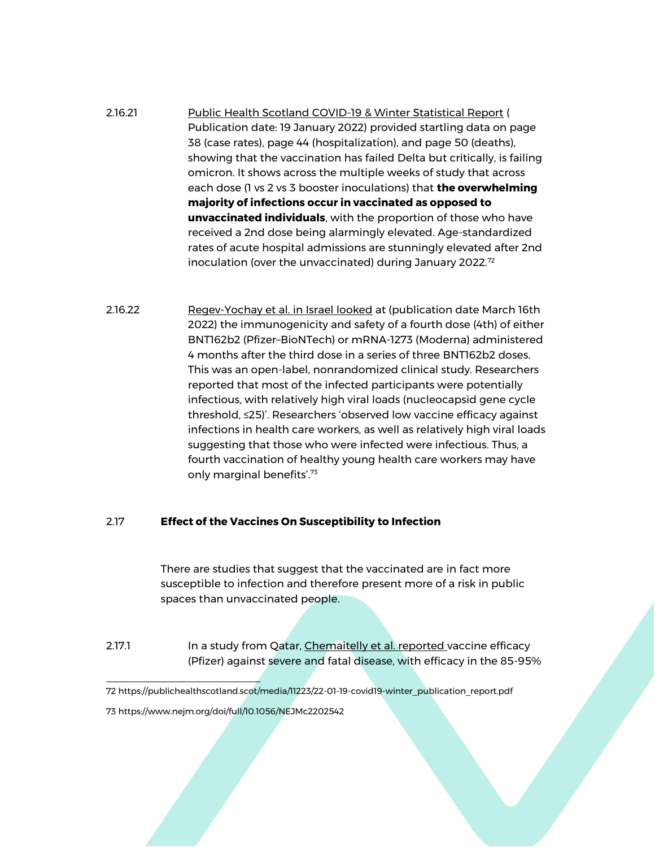- 2.16.21 [Public Health Scotland COVID-19 & Winter Statistical Report](https://publichealthscotland.scot/media/11223/22-01-19-covid19-winter_publication_report.pdf) ( Publication date: 19 January 2022) provided startling data on page 38 (case rates), page 44 (hospitalization), and page 50 (deaths), showing that the vaccination has failed Delta but critically, is failing omicron. It shows across the multiple weeks of study that across each dose (1 vs 2 vs 3 booster inoculations) that **the overwhelming majority of infections occur in vaccinated as opposed to unvaccinated individuals**, with the proportion of those who have received a 2nd dose being alarmingly elevated. Age-standardized rates of acute hospital admissions are stunningly elevated after 2nd inoculation (over the unvaccinated) during January 2022.<sup>72</sup>
- 2.16.22 [Regev-Yochay et al. in Israel looked](https://www.nejm.org/doi/full/10.1056/NEJMc2202542) at (publication date March 16th 2022) the immunogenicity and safety of a fourth dose (4th) of either BNT162b2 (Pfizer–BioNTech) or mRNA-1273 (Moderna) administered 4 months after the third dose in a series of three BNT162b2 doses. This was an open-label, nonrandomized clinical study. Researchers reported that most of the infected participants were potentially infectious, with relatively high viral loads (nucleocapsid gene cycle threshold, ≤25)'. Researchers 'observed low vaccine efficacy against infections in health care workers, as well as relatively high viral loads suggesting that those who were infected were infectious. Thus, a fourth vaccination of healthy young health care workers may have only marginal benefits'.<sup>73</sup>

#### 2.17 **Effect of the Vaccines On Susceptibility to Infection**

There are studies that suggest that the vaccinated are in fact more susceptible to infection and therefore present more of a risk in public spaces than unvaccinated people.

2.17.1 In a study from Qatar, [Chemaitelly et al. reported v](https://www.medrxiv.org/content/10.1101/2021.08.25.21262584v1.full.pdf)accine efficacy (Pfizer) against severe and fatal disease, with efficacy in the 85-95%

73 https://www.nejm.org/doi/full/10.1056/NEJMc2202542

<sup>72</sup> https://publichealthscotland.scot/media/11223/22-01-19-covid19-winter\_publication\_report.pdf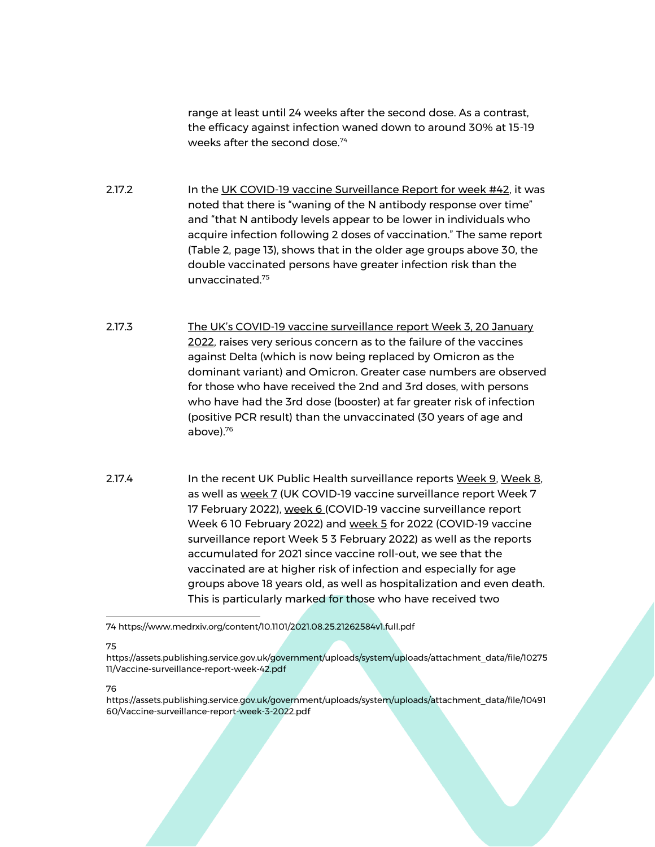range at least until 24 weeks after the second dose. As a contrast, the efficacy against infection waned down to around 30% at 15-19 weeks after the second dose.<sup>74</sup>

2.17.2 In the [UK COVID-19 vaccine Surveillance Report for week #42,](https://assets.publishing.service.gov.uk/government/uploads/system/uploads/attachment_data/file/1027511/Vaccine-surveillance-report-week-42.pdf) it was noted that there is "waning of the N antibody response over time" and "that N antibody levels appear to be lower in individuals who acquire infection following 2 doses of vaccination." The same report (Table 2, page 13), shows that in the older age groups above 30, the double vaccinated persons have greater infection risk than the unvaccinated.<sup>75</sup>

2.17.3 The UK's COVID[-19 vaccine surveillance report Week 3, 20 January](https://assets.publishing.service.gov.uk/government/uploads/system/uploads/attachment_data/file/1049160/Vaccine-surveillance-report-week-3-2022.pdf)  [2022,](https://assets.publishing.service.gov.uk/government/uploads/system/uploads/attachment_data/file/1049160/Vaccine-surveillance-report-week-3-2022.pdf) raises very serious concern as to the failure of the vaccines against Delta (which is now being replaced by Omicron as the dominant variant) and Omicron. Greater case numbers are observed for those who have received the 2nd and 3rd doses, with persons who have had the 3rd dose (booster) at far greater risk of infection (positive PCR result) than the unvaccinated (30 years of age and above).<sup>76</sup>

2.17.4 In the recent UK Public Health surveillance reports [Week 9,](https://assets.publishing.service.gov.uk/government/uploads/system/uploads/attachment_data/file/1058464/Vaccine-surveillance-report-week-9.pdf) Week 8, as well as [week 7](https://assets.publishing.service.gov.uk/government/uploads/system/uploads/attachment_data/file/1055620/Vaccine_surveillance_report_-_week_7.pdf) (UK COVID-19 vaccine surveillance report Week 7 17 February 2022), [week 6 \(](https://assets.publishing.service.gov.uk/government/uploads/system/uploads/attachment_data/file/1054071/vaccine-surveillance-report-week-6.pdf)COVID-19 vaccine surveillance report Week 6 10 February 2022) and [week 5](https://assets.publishing.service.gov.uk/government/uploads/system/uploads/attachment_data/file/1052353/Vaccine_surveillance_report_-_week_5.pdf) for 2022 (COVID-19 vaccine surveillance report Week 5 3 February 2022) as well as the reports accumulated for 2021 since vaccine roll-out, we see that the vaccinated are at higher risk of infection and especially for age groups above 18 years old, as well as hospitalization and even death. This is particularly marked for those who have received two

74 https://www.medrxiv.org/content/10.1101/2021.08.25.21262584v1.full.pdf

75

https://assets.publishing.service.gov.uk/government/uploads/system/uploads/attachment\_data/file/10275 11/Vaccine-surveillance-report-week-42.pdf

#### 76

https://assets.publishing.service.gov.uk/government/uploads/system/uploads/attachment\_data/file/10491 60/Vaccine-surveillance-report-week-3-2022.pdf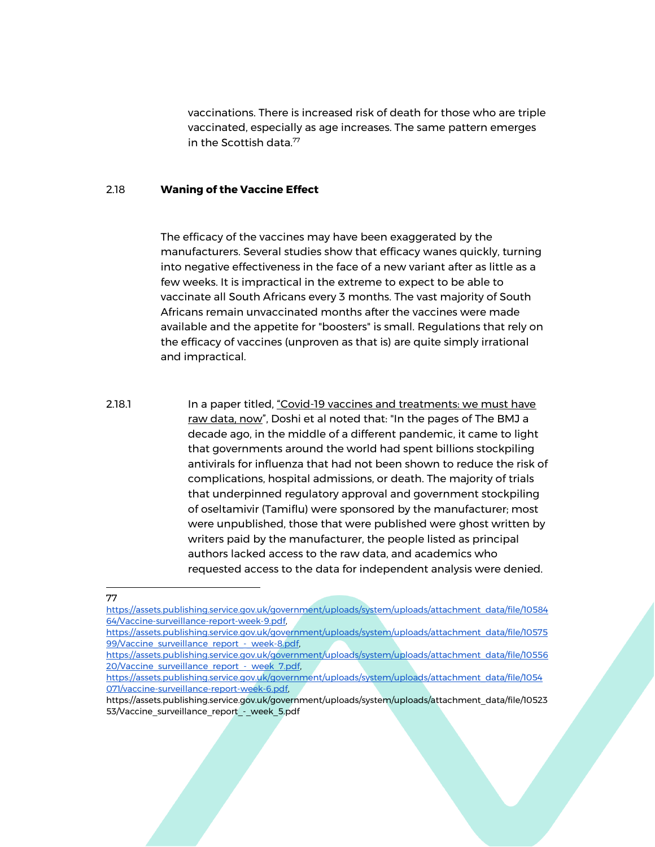vaccinations. There is increased risk of death for those who are triple vaccinated, especially as age increases. The same pattern emerges in the Scottish data.<sup>77</sup>

#### 2.18 **Waning of the Vaccine Effect**

The efficacy of the vaccines may have been exaggerated by the manufacturers. Several studies show that efficacy wanes quickly, turning into negative effectiveness in the face of a new variant after as little as a few weeks. It is impractical in the extreme to expect to be able to vaccinate all South Africans every 3 months. The vast majority of South Africans remain unvaccinated months after the vaccines were made available and the appetite for "boosters" is small. Regulations that rely on the efficacy of vaccines (unproven as that is) are quite simply irrational and impractical.

2.18.1 In a paper titled, "Covid-19 vaccines and treatments: we must have [raw data, now](https://www.bmj.com/content/376/bmj.o102)", Doshi et al noted that: "In the pages of The BMJ a decade ago, in the middle of a different pandemic, it came to light that governments around the world had spent billions stockpiling antivirals for influenza that had not been shown to reduce the risk of complications, hospital admissions, or death. The majority of trials that underpinned regulatory approval and government stockpiling of oseltamivir (Tamiflu) were sponsored by the manufacturer; most were unpublished, those that were published were ghost written by writers paid by the manufacturer, the people listed as principal authors lacked access to the raw data, and academics who requested access to the data for independent analysis were denied.

#### 77

https://assets.publishing.service.gov.uk/government/uploads/system/uploads/attachment\_data/file/10584 64/Vaccine-surveillance-report-week-9.pdf,

[https://assets.publishing.service.gov.uk/government/uploads/system/uploads/attachment\\_data/file/10575](https://assets.publishing.service.gov.uk/government/uploads/system/uploads/attachment_data/file/1057599/Vaccine_surveillance_report_-_week-8.pdf) 99/Vaccine\_surveillance\_report - week-8.pdf,

[https://assets.publishing.service.gov.uk/government/uploads/system/uploads/attachment\\_data/file/10556](https://assets.publishing.service.gov.uk/government/uploads/system/uploads/attachment_data/file/1055620/Vaccine_surveillance_report_-_week_7.pdf) 20/Vaccine\_surveillance\_report - week\_7.pdf,

https://assets.publishing.service.gov.uk/government/uploads/system/uploads/attachment\_data/file/1054 071/vaccine-surveillance-report-week-6.pdf,

https://assets.publishing.service.gov.uk/government/uploads/system/uploads/attachment\_data/file/10523 53/Vaccine\_surveillance\_report\_-\_week\_5.pdf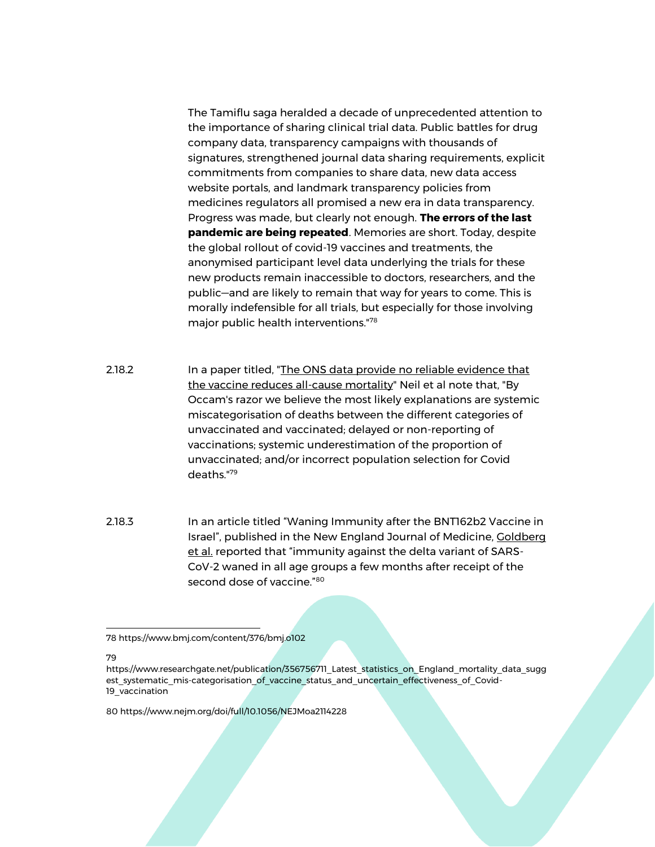The Tamiflu saga heralded a decade of unprecedented attention to the importance of sharing clinical trial data. Public battles for drug company data, transparency campaigns with thousands of signatures, strengthened journal data sharing requirements, explicit commitments from companies to share data, new data access website portals, and landmark transparency policies from medicines regulators all promised a new era in data transparency. Progress was made, but clearly not enough. **The errors of the last pandemic are being repeated**. Memories are short. Today, despite the global rollout of covid-19 vaccines and treatments, the anonymised participant level data underlying the trials for these new products remain inaccessible to doctors, researchers, and the public—and are likely to remain that way for years to come. This is morally indefensible for all trials, but especially for those involving major public health interventions."<sup>78</sup>

- 2.18.2 In a paper titled, "The ONS data provide no reliable evidence that [the vaccine reduces all-cause mortality"](https://www.researchgate.net/publication/356756711_Latest_statistics_on_England_mortality_data_suggest_systematic_mis-categorisation_of_vaccine_status_and_uncertain_effectiveness_of_Covid-19_vaccination) Neil et al note that, "By Occam's razor we believe the most likely explanations are systemic miscategorisation of deaths between the different categories of unvaccinated and vaccinated; delayed or non-reporting of vaccinations; systemic underestimation of the proportion of unvaccinated; and/or incorrect population selection for Covid deaths."<sup>79</sup>
- 2.18.3 In an article titled "Waning Immunity after the BNT162b2 Vaccine in Israel", published in the New England Journal of Medicine, [Goldberg](https://www.nejm.org/doi/full/10.1056/NEJMoa2114228)  [et al.](https://www.nejm.org/doi/full/10.1056/NEJMoa2114228) reported that "immunity against the delta variant of SARS-CoV-2 waned in all age groups a few months after receipt of the second dose of vaccine."<sup>80</sup>

79

<sup>78</sup> https://www.bmj.com/content/376/bmj.o102

https://www.researchgate.net/publication/356756711 Latest statistics on England mortality data sugg est\_systematic\_mis-categorisation\_of\_vaccine\_status\_and\_uncertain\_effectiveness\_of\_Covid-19\_vaccination

<sup>80</sup> https://www.nejm.org/doi/full/10.1056/NEJMoa2114228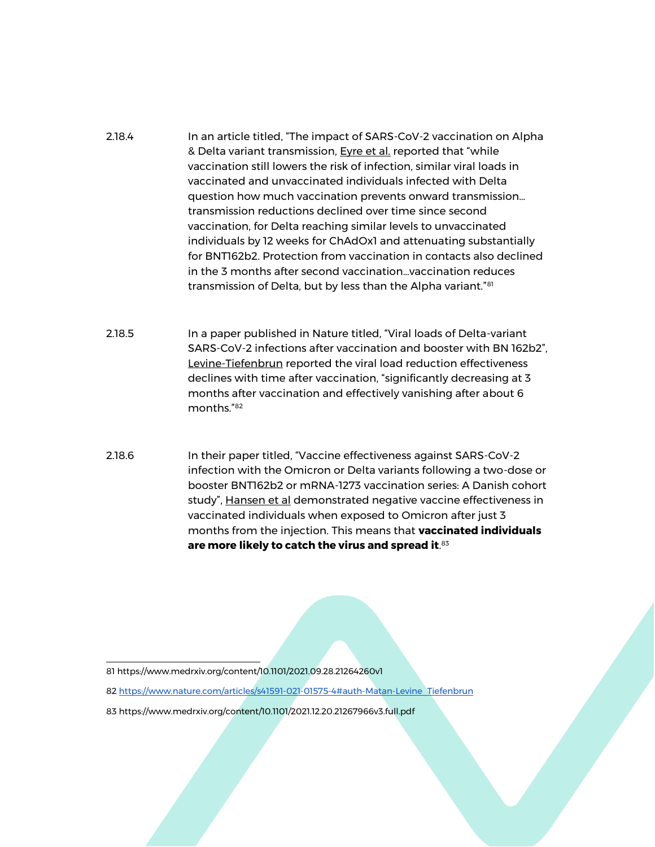- 2.18.4 In an article titled, "The impact of SARS-CoV-2 vaccination on Alpha & Delta variant transmission, [Eyre et al.](https://www.medrxiv.org/content/10.1101/2021.09.28.21264260v1) reported that "while vaccination still lowers the risk of infection, similar viral loads in vaccinated and unvaccinated individuals infected with Delta question how much vaccination prevents onward transmission… transmission reductions declined over time since second vaccination, for Delta reaching similar levels to unvaccinated individuals by 12 weeks for ChAdOx1 and attenuating substantially for BNT162b2. Protection from vaccination in contacts also declined in the 3 months after second vaccination…vaccination reduces transmission of Delta, but by less than the Alpha variant."<sup>81</sup>
- 2.18.5 In a paper published in Nature titled, "Viral loads of Delta-variant SARS-CoV-2 infections after vaccination and booster with BN 162b2", [Levine-Tiefenbrun](https://www.nature.com/articles/s41591-021-01575-4#auth-Matan-Levine_Tiefenbrun) reported the viral load reduction effectiveness declines with time after vaccination, "significantly decreasing at 3 months after vaccination and effectively vanishing after about 6 months."<sup>82</sup>
- 2.18.6 In their paper titled, "Vaccine effectiveness against SARS-CoV-2 infection with the Omicron or Delta variants following a two-dose or booster BNT162b2 or mRNA-1273 vaccination series: A Danish cohort study", [Hansen et al](https://www.medrxiv.org/content/10.1101/2021.12.20.21267966v3.full.pdf) demonstrated negative vaccine effectiveness in vaccinated individuals when exposed to Omicron after just 3 months from the injection. This means that **vaccinated individuals are more likely to catch the virus and spread it**. 83

81 https://www.medrxiv.org/content/10.1101/2021.09.28.21264260v1

82 https://www.nature.com/articles/s41591-021-01575-4#auth-Matan-Levine\_Tiefenbrun

83 https://www.medrxiv.org/content/10.1101/2021.12.20.21267966v3.full.pdf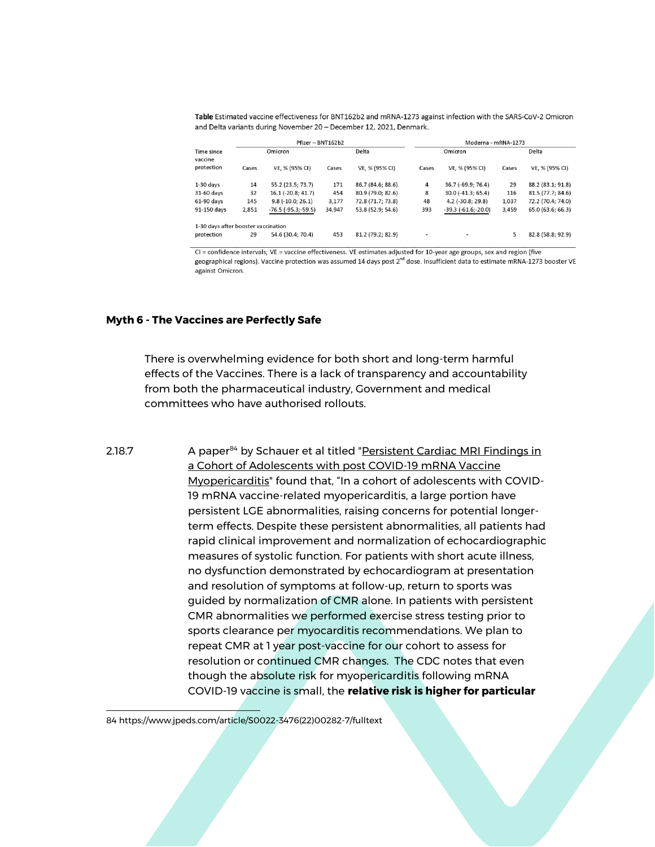Table Estimated vaccine effectiveness for BNT162b2 and mRNA-1273 against infection with the SARS-CoV-2 Omicron and Delta variants during November 20 - December 12, 2021, Denmark.

|                                     | Pfizer - BNT162b2 |                               |        |                   | Moderna - mRNA-1273      |                          |       |                   |
|-------------------------------------|-------------------|-------------------------------|--------|-------------------|--------------------------|--------------------------|-------|-------------------|
| Time since<br>vaccine               | Omicron           |                               | Delta  |                   | Omicron                  |                          | Delta |                   |
| protection                          | Cases             | VE, % (95% CI)                | Cases  | VE, % (95% CI)    | Cases                    | VE. % (95% CI)           | Cases | VE, % (95% CI)    |
| $1-30$ days                         | 14                | 55.2 (23.5; 73.7)             | 171    | 86.7 (84.6; 88.6) | 4                        | 36.7 (-69.9; 76.4)       | 29    | 88.2 (83.1; 91.8) |
| 31-60 days                          | 32                | $16.1 (-20.8: 41.7)$          | 454    | 80.9 (79.0; 82.6) | 8                        | $30.0 (-41.3; 65.4)$     | 116   | 81.5 (77.7; 84.6) |
| 61-90 days                          | 145               | $9.8(-10.0; 26.1)$            | 3,177  | 72.8 (71.7; 73.8) | 48                       | 4.2 (-30.8; 29.8)        | 1,037 | 72.2 (70.4; 74.0) |
| 91-150 days                         | 2,851             | $-76.5$ ( $-95.3$ ; $-59.5$ ) | 34,947 | 53.8 (52.9; 54.6) | 393                      | $-39.3$ $(-61.6,-20.0)$  | 3,459 | 65.0 (63.6; 66.3) |
| 1-30 days after booster vaccination |                   |                               |        |                   |                          |                          |       |                   |
| protection                          | 29                | 54.6 (30.4; 70.4)             | 453    | 81.2 (79.2; 82.9) | $\overline{\phantom{a}}$ | $\overline{\phantom{a}}$ | 5     | 82.8 (58.8; 92.9) |

CI = confidence intervals; VE = vaccine effectiveness. VE estimates adjusted for 10-year age groups, sex and region (five geographical regions). Vaccine protection was assumed 14 days post 2<sup>nd</sup> dose. Insufficient data to estimate mRNA-1273 booster VE against Omicron.

#### **Myth 6 - The Vaccines are Perfectly Safe**

There is overwhelming evidence for both short and long-term harmful effects of the Vaccines. There is a lack of transparency and accountability from both the pharmaceutical industry, Government and medical committees who have authorised rollouts.

2.18.7 A paper<sup>84</sup> by Schauer et al titled "Persistent Cardiac MRI Findings in [a Cohort of Adolescents with post COVID-19 mRNA Vaccine](https://www.jpeds.com/article/S0022-3476(22)00282-7/fulltext)  [Myopericarditis"](https://www.jpeds.com/article/S0022-3476(22)00282-7/fulltext) found that, "In a cohort of adolescents with COVID-19 mRNA vaccine-related myopericarditis, a large portion have persistent LGE abnormalities, raising concerns for potential longerterm effects. Despite these persistent abnormalities, all patients had rapid clinical improvement and normalization of echocardiographic measures of systolic function. For patients with short acute illness, no dysfunction demonstrated by echocardiogram at presentation and resolution of symptoms at follow-up, return to sports was guided by normalization of CMR alone. In patients with persistent CMR abnormalities we performed exercise stress testing prior to sports clearance per myocarditis recommendations. We plan to repeat CMR at 1 year post-vaccine for our cohort to assess for resolution or continued CMR changes. The CDC notes that even though the absolute risk for myopericarditis following mRNA COVID-19 vaccine is small, the **relative risk is higher for particular** 

84 https://www.jpeds.com/article/S0022-3476(22)00282-7/fulltext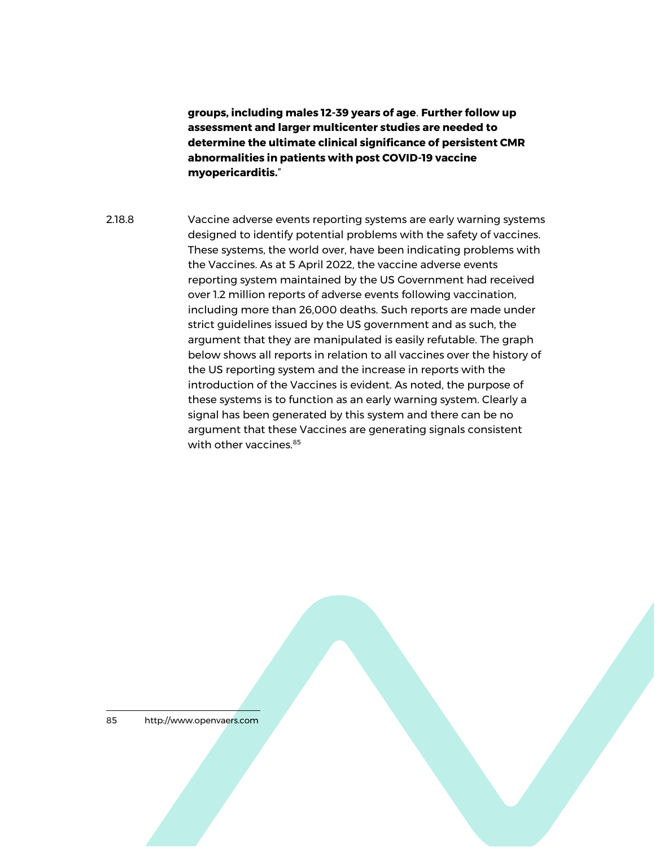**groups, including males 12-39 years of age**. **Further follow up assessment and larger multicenter studies are needed to determine the ultimate clinical significance of persistent CMR abnormalities in patients with post COVID-19 vaccine myopericarditis.**"

2.18.8 Vaccine adverse events reporting systems are early warning systems designed to identify potential problems with the safety of vaccines. These systems, the world over, have been indicating problems with the Vaccines. As at 5 April 2022, the vaccine adverse events reporting system maintained by the US Government had received over 1.2 million reports of adverse events following vaccination, including more than 26,000 deaths. Such reports are made under strict guidelines issued by the US government and as such, the argument that they are manipulated is easily refutable. The graph below shows all reports in relation to all vaccines over the history of the US reporting system and the increase in reports with the introduction of the Vaccines is evident. As noted, the purpose of these systems is to function as an early warning system. Clearly a signal has been generated by this system and there can be no argument that these Vaccines are generating signals consistent with other vaccines.<sup>85</sup>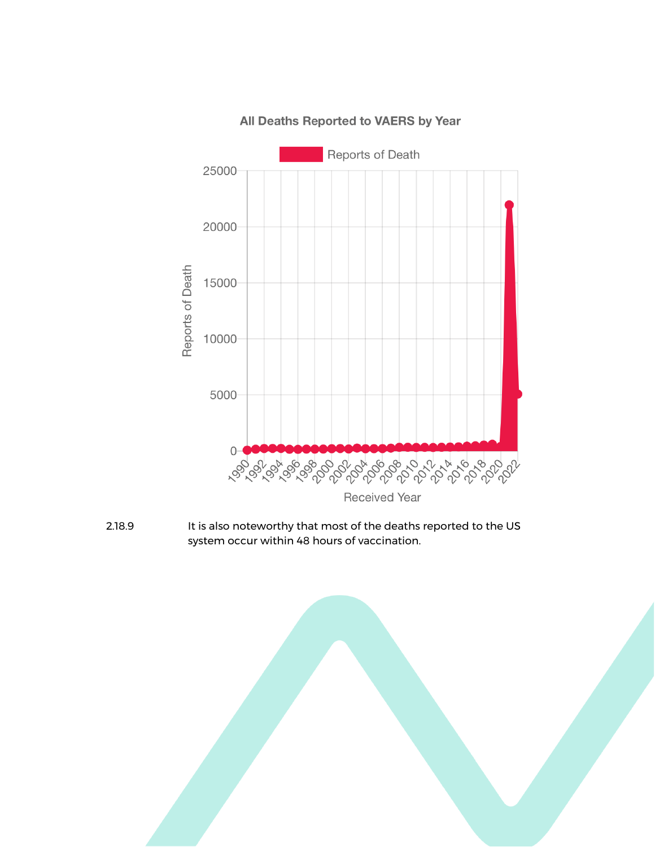

All Deaths Reported to VAERS by Year

2.18.9 It is also noteworthy that most of the deaths reported to the US system occur within 48 hours of vaccination.

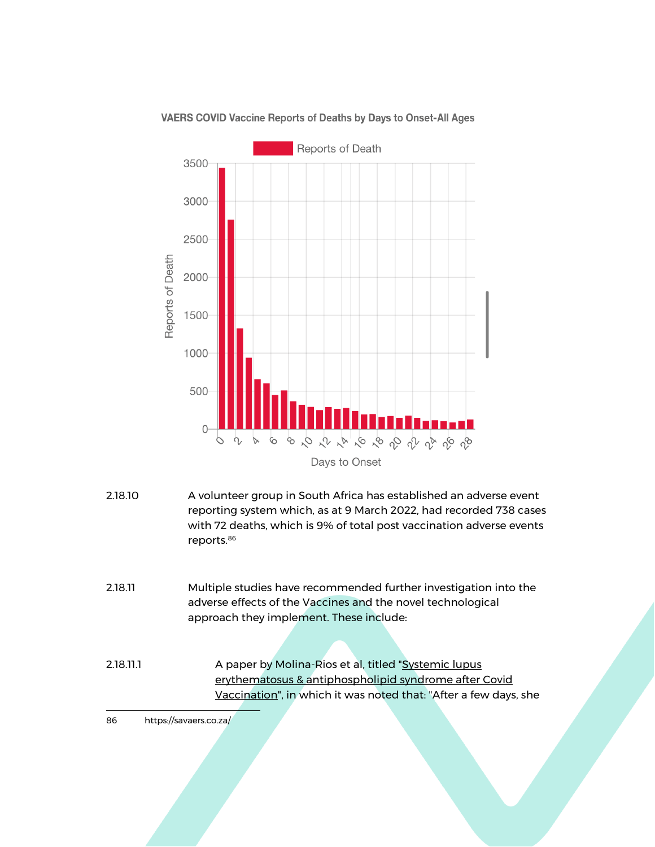

VAERS COVID Vaccine Reports of Deaths by Days to Onset-All Ages

- 2.18.10 A volunteer group in South Africa has established an adverse event reporting system which, as at 9 March 2022, had recorded 738 cases with 72 deaths, which is 9% of total post vaccination adverse events reports.<sup>86</sup>
- 2.18.11 Multiple studies have recommended further investigation into the adverse effects of the Vaccines and the novel technological approach they implement. These include:
- 2.18.11.1 A paper by Molina-Rios et al, titled "Systemic lupus [erythematosus & antiphospholipid syndrome after Covid](https://academic.oup.com/mrcr/advance-article/doi/10.1093/mrcr/rxac018/6542744?login=false) [Vaccination"](https://academic.oup.com/mrcr/advance-article/doi/10.1093/mrcr/rxac018/6542744?login=false), in which it was noted that: "After a few days, she

86 https://savaers.co.za/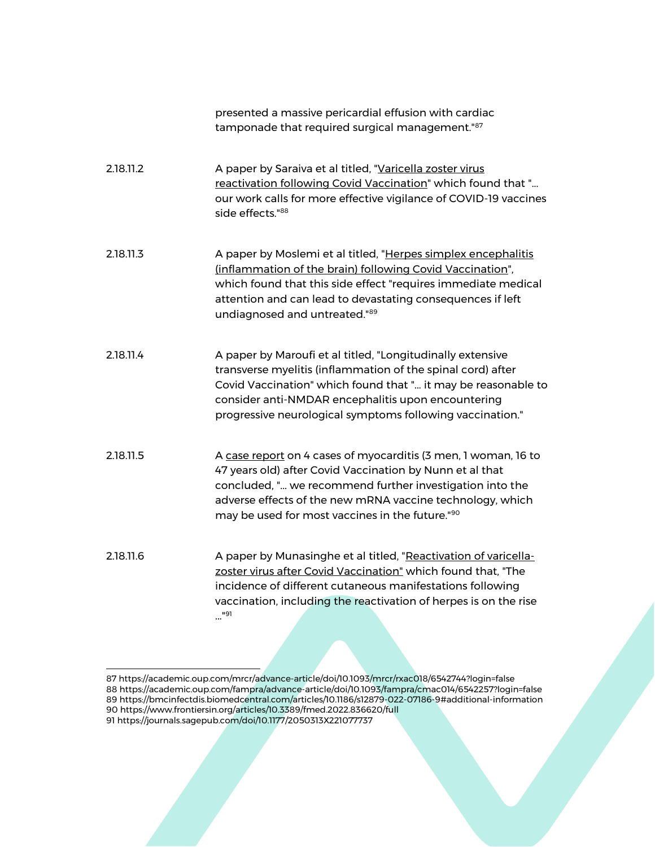|           | presented a massive pericardial effusion with cardiac<br>tamponade that required surgical management."87                                                                                                                                                                                                           |
|-----------|--------------------------------------------------------------------------------------------------------------------------------------------------------------------------------------------------------------------------------------------------------------------------------------------------------------------|
| 2.18.11.2 | A paper by Saraiva et al titled, "Varicella zoster virus<br>reactivation following Covid Vaccination" which found that "<br>our work calls for more effective vigilance of COVID-19 vaccines<br>side effects."88                                                                                                   |
| 2.18.11.3 | A paper by Moslemi et al titled, "Herpes simplex encephalitis<br>(inflammation of the brain) following Covid Vaccination",<br>which found that this side effect "requires immediate medical<br>attention and can lead to devastating consequences if left<br>undiagnosed and untreated."89                         |
| 2.18.11.4 | A paper by Maroufi et al titled, "Longitudinally extensive<br>transverse myelitis (inflammation of the spinal cord) after<br>Covid Vaccination" which found that " it may be reasonable to<br>consider anti-NMDAR encephalitis upon encountering<br>progressive neurological symptoms following vaccination."      |
| 2.18.11.5 | A case report on 4 cases of myocarditis (3 men, 1 woman, 16 to<br>47 years old) after Covid Vaccination by Nunn et al that<br>concluded, " we recommend further investigation into the<br>adverse effects of the new mRNA vaccine technology, which<br>may be used for most vaccines in the future." <sup>90</sup> |
| 2.18.11.6 | A paper by Munasinghe et al titled, "Reactivation of varicella-<br>zoster virus after Covid Vaccination" which found that, "The<br>incidence of different cutaneous manifestations following<br>vaccination, including the reactivation of herpes is on the rise<br>"91                                            |

<sup>87</sup> https://academic.oup.com/mrcr/advance-article/doi/10.1093/mrcr/rxac018/6542744?login=false 88 https://academic.oup.com/fampra/advance-article/doi/10.1093/fampra/cmac014/6542257?login=false 89 https://bmcinfectdis.biomedcentral.com/articles/10.1186/s12879-022-07186-9#additional-information 90 https://www.frontiersin.org/articles/10.3389/fmed.2022.836620/full 91 <https://journals.sagepub.com/doi/10.1177/2050313X221077737>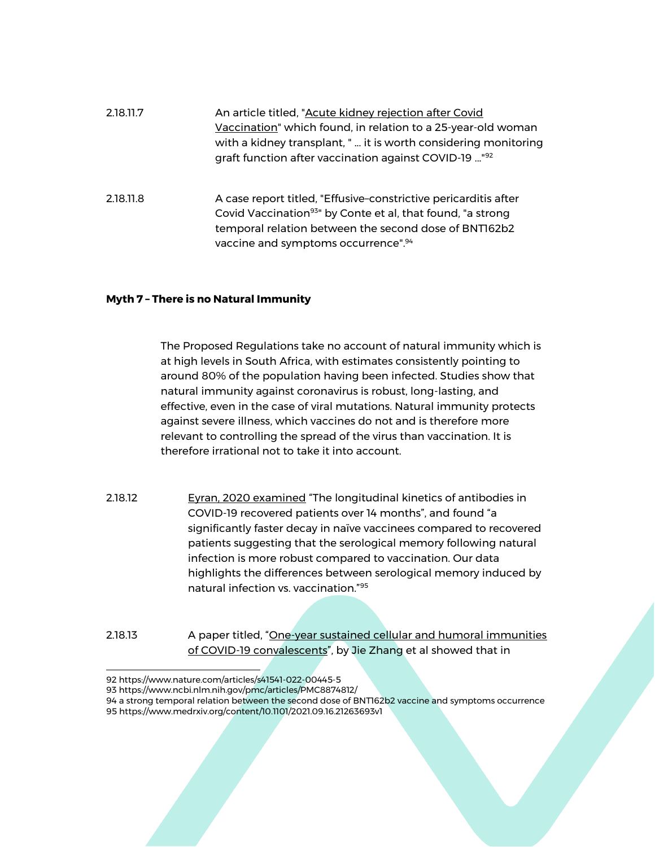| 2.18.11.7 | An article titled, "Acute kidney rejection after Covid<br>Vaccination" which found, in relation to a 25-year-old woman<br>with a kidney transplant, " it is worth considering monitoring<br>graft function after vaccination against COVID-19 "92    |
|-----------|------------------------------------------------------------------------------------------------------------------------------------------------------------------------------------------------------------------------------------------------------|
| 2.18.11.8 | A case report titled, "Effusive-constrictive pericarditis after<br>Covid Vaccination <sup>93</sup> by Conte et al, that found, "a strong<br>temporal relation between the second dose of BNT162b2<br>vaccine and symptoms occurrence". <sup>94</sup> |

#### **Myth 7 – There is no Natural Immunity**

The Proposed Regulations take no account of natural immunity which is at high levels in South Africa, with estimates consistently pointing to around 80% of the population having been infected. Studies show that natural immunity against coronavirus is robust, long-lasting, and effective, even in the case of viral mutations. Natural immunity protects against severe illness, which vaccines do not and is therefore more relevant to controlling the spread of the virus than vaccination. It is therefore irrational not to take it into account.

- 2.18.12 [Eyran, 2020 examined](https://www.medrxiv.org/content/10.1101/2021.09.16.21263693v1) "The longitudinal kinetics of antibodies in COVID-19 recovered patients over 14 months", and found "a significantly faster decay in naïve vaccinees compared to recovered patients suggesting that the serological memory following natural infection is more robust compared to vaccination. Our data highlights the differences between serological memory induced by natural infection vs. vaccination."<sup>95</sup>
- 2.18.13 A paper titled, "One-year sustained cellular and humoral immunities [of COVID-19 convalescents](https://academic.oup.com/cid/advance-article/doi/10.1093/cid/ciab884/6381561#.YWGhCytQ_Hc.twitter)", by Jie Zhang et al showed that in

95 https://www.medrxiv.org/content/10.1101/2021.09.16.21263693v1

<sup>92</sup> https://www.nature.com/articles/s41541-022-00445-5

<sup>93</sup> https://www.ncbi.nlm.nih.gov/pmc/articles/PMC8874812/

<sup>94</sup> a strong temporal relation between the second dose of BNT162b2 vaccine and symptoms occurrence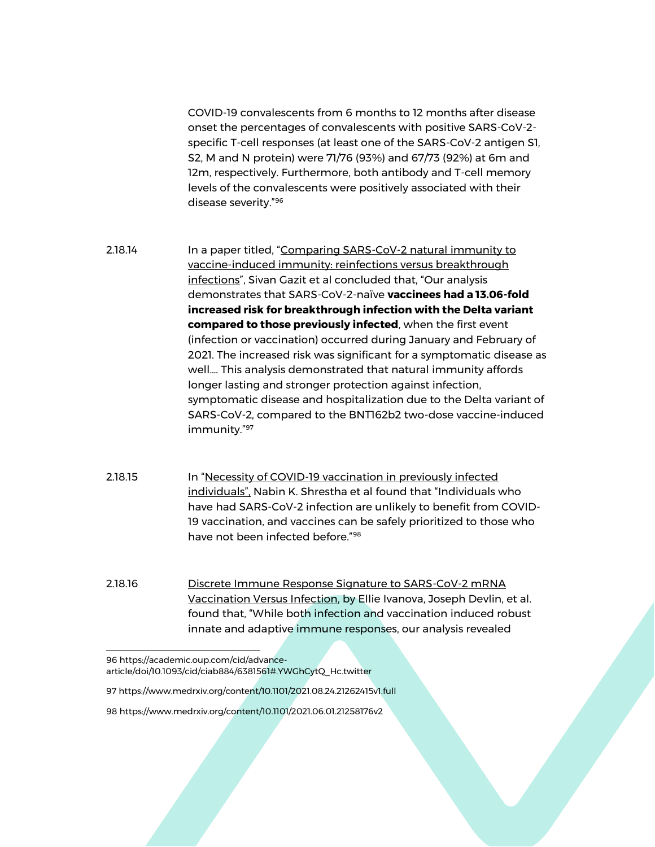COVID-19 convalescents from 6 months to 12 months after disease onset the percentages of convalescents with positive SARS-CoV-2 specific T-cell responses (at least one of the SARS-CoV-2 antigen S1, S2, M and N protein) were 71/76 (93%) and 67/73 (92%) at 6m and 12m, respectively. Furthermore, both antibody and T-cell memory levels of the convalescents were positively associated with their disease severity."<sup>96</sup>

- 2.18.14 In a paper titled, "Comparing SARS-CoV-2 natural immunity to [vaccine-induced immunity: reinfections versus breakthrough](https://www.medrxiv.org/content/10.1101/2021.08.24.21262415v1.full)  [infections](https://www.medrxiv.org/content/10.1101/2021.08.24.21262415v1.full)", Sivan Gazit et al concluded that, "Our analysis demonstrates that SARS-CoV-2-naïve **vaccinees had a 13.06-fold increased risk for breakthrough infection with the Delta variant compared to those previously infected**, when the first event (infection or vaccination) occurred during January and February of 2021. The increased risk was significant for a symptomatic disease as well…. This analysis demonstrated that natural immunity affords longer lasting and stronger protection against infection, symptomatic disease and hospitalization due to the Delta variant of SARS-CoV-2, compared to the BNT162b2 two-dose vaccine-induced immunity."<sup>97</sup>
- 2.18.15 In "[Necessity of COVID-19 vaccination in previously infected](https://www.medrxiv.org/content/10.1101/2021.06.01.21258176v2)  [individuals",](https://www.medrxiv.org/content/10.1101/2021.06.01.21258176v2) Nabin K. Shrestha et al found that "Individuals who have had SARS-CoV-2 infection are unlikely to benefit from COVID-19 vaccination, and vaccines can be safely prioritized to those who have not been infected before."<sup>98</sup>
- 2.18.16 [Discrete Immune Response Signature to SARS-CoV-2 mRNA](https://papers.ssrn.com/sol3/papers.cfm?abstract_id=3838993)  [Vaccination Versus Infection,](https://papers.ssrn.com/sol3/papers.cfm?abstract_id=3838993) by Ellie Ivanova, Joseph Devlin, et al. found that, "While both infection and vaccination induced robust innate and adaptive immune responses, our analysis revealed

96 https://academic.oup.com/cid/advancearticle/doi/10.1093/cid/ciab884/6381561#.YWGhCytQ\_Hc.twitter

97 https://www.medrxiv.org/content/10.1101/2021.08.24.21262415v1.full

98 https://www.medrxiv.org/content/10.1101/2021.06.01.21258176v2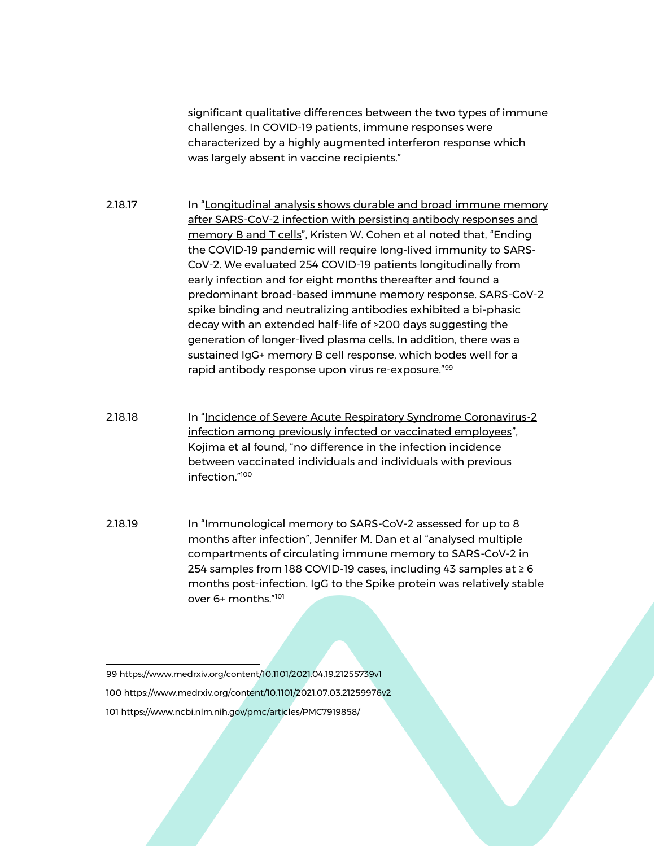significant qualitative differences between the two types of immune challenges. In COVID-19 patients, immune responses were characterized by a highly augmented interferon response which was largely absent in vaccine recipients."

2.18.17 In "Longitudinal analysis shows durable and broad immune memory [after SARS-CoV-2 infection with persisting antibody responses and](https://www.medrxiv.org/content/10.1101/2021.04.19.21255739v1)  [memory B and T cells](https://www.medrxiv.org/content/10.1101/2021.04.19.21255739v1)", Kristen W. Cohen et al noted that, "Ending the COVID-19 pandemic will require long-lived immunity to SARS-CoV-2. We evaluated 254 COVID-19 patients longitudinally from early infection and for eight months thereafter and found a predominant broad-based immune memory response. SARS-CoV-2 spike binding and neutralizing antibodies exhibited a bi-phasic decay with an extended half-life of >200 days suggesting the generation of longer-lived plasma cells. In addition, there was a sustained IgG+ memory B cell response, which bodes well for a rapid antibody response upon virus re-exposure."<sup>99</sup>

2.18.18 In "Incidence of Severe Acute Respiratory Syndrome Coronavirus-2 [infection among previously infected or vaccinated employees](https://www.medrxiv.org/content/10.1101/2021.07.03.21259976v2)", Kojima et al found, "no difference in the infection incidence between vaccinated individuals and individuals with previous infection."<sup>100</sup>

2.18.19 In "[Immunological memory to SARS-CoV-2 assessed for up to 8](https://www.ncbi.nlm.nih.gov/pmc/articles/PMC7919858/)  [months after infection](https://www.ncbi.nlm.nih.gov/pmc/articles/PMC7919858/)", Jennifer M. Dan et al "analysed multiple compartments of circulating immune memory to SARS-CoV-2 in 254 samples from 188 COVID-19 cases, including 43 samples at ≥ 6 months post-infection. IgG to the Spike protein was relatively stable over 6+ months."<sup>101</sup>

99 https://www.medrxiv.org/content/10.1101/2021.04.19.21255739v1 100 https://www.medrxiv.org/content/10.1101/2021.07.03.21259976v2 101 https://www.ncbi.nlm.nih.gov/pmc/articles/PMC7919858/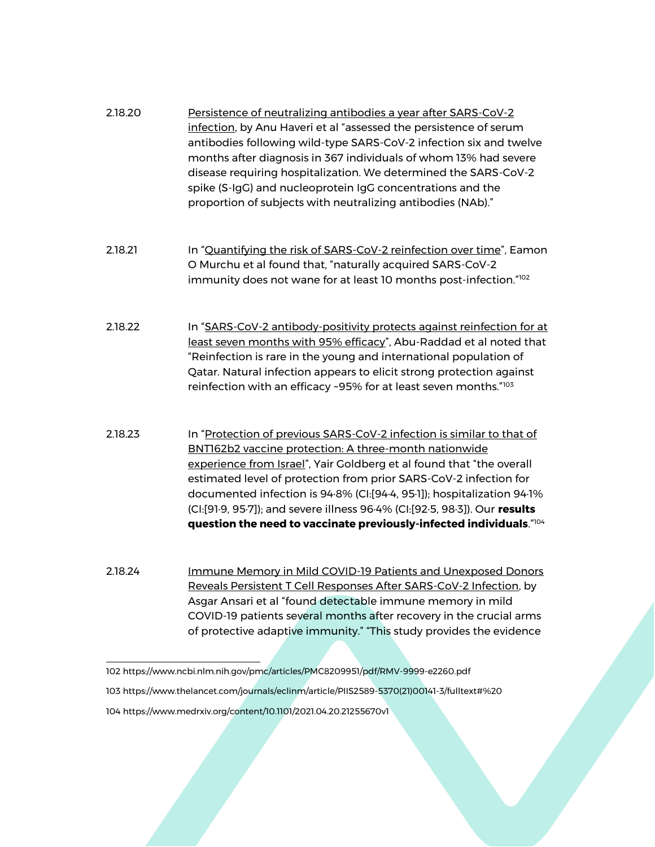| 2.18.20 | Persistence of neutralizing antibodies a year after SARS-CoV-2<br>infection, by Anu Haveri et al "assessed the persistence of serum<br>antibodies following wild-type SARS-CoV-2 infection six and twelve<br>months after diagnosis in 367 individuals of whom 13% had severe<br>disease requiring hospitalization. We determined the SARS-CoV-2<br>spike (S-IgG) and nucleoprotein IgG concentrations and the<br>proportion of subjects with neutralizing antibodies (NAb)."                                     |
|---------|-------------------------------------------------------------------------------------------------------------------------------------------------------------------------------------------------------------------------------------------------------------------------------------------------------------------------------------------------------------------------------------------------------------------------------------------------------------------------------------------------------------------|
| 2.18.21 | In "Quantifying the risk of SARS-CoV-2 reinfection over time", Eamon<br>O Murchu et al found that, "naturally acquired SARS-CoV-2<br>immunity does not wane for at least 10 months post-infection."102                                                                                                                                                                                                                                                                                                            |
| 2.18.22 | In "SARS-CoV-2 antibody-positivity protects against reinfection for at<br>least seven months with 95% efficacy", Abu-Raddad et al noted that<br>"Reinfection is rare in the young and international population of<br>Qatar. Natural infection appears to elicit strong protection against<br>reinfection with an efficacy ~95% for at least seven months."103                                                                                                                                                     |
| 2.18.23 | In "Protection of previous SARS-CoV-2 infection is similar to that of<br><b>BNT162b2 vaccine protection: A three-month nationwide</b><br>experience from Israel", Yair Goldberg et al found that "the overall<br>estimated level of protection from prior SARS-CoV-2 infection for<br>documented infection is 94.8% (CI:[94.4, 95.1]); hospitalization 94.1%<br>(CI:[91.9, 95.7]); and severe illness 96.4% (CI:[92.5, 98.3]). Our results<br>question the need to vaccinate previously-infected individuals."104 |
| 2.18.24 | Immune Memory in Mild COVID-19 Patients and Unexposed Donors<br>Reveals Persistent T Cell Responses After SARS-CoV-2 Infection, by                                                                                                                                                                                                                                                                                                                                                                                |

Asgar Ansari et al "found detectable immune memory in mild COVID-19 patients several months after recovery in the crucial arms of protective adaptive immunity." "This study provides the evidence

102 https://www.ncbi.nlm.nih.gov/pmc/articles/PMC8209951/pdf/RMV-9999-e2260.pdf 103 https://www.thelancet.com/journals/eclinm/article/PIIS2589-5370(21)00141-3/fulltext#%20 104 https://www.medrxiv.org/content/10.1101/2021.04.20.21255670v1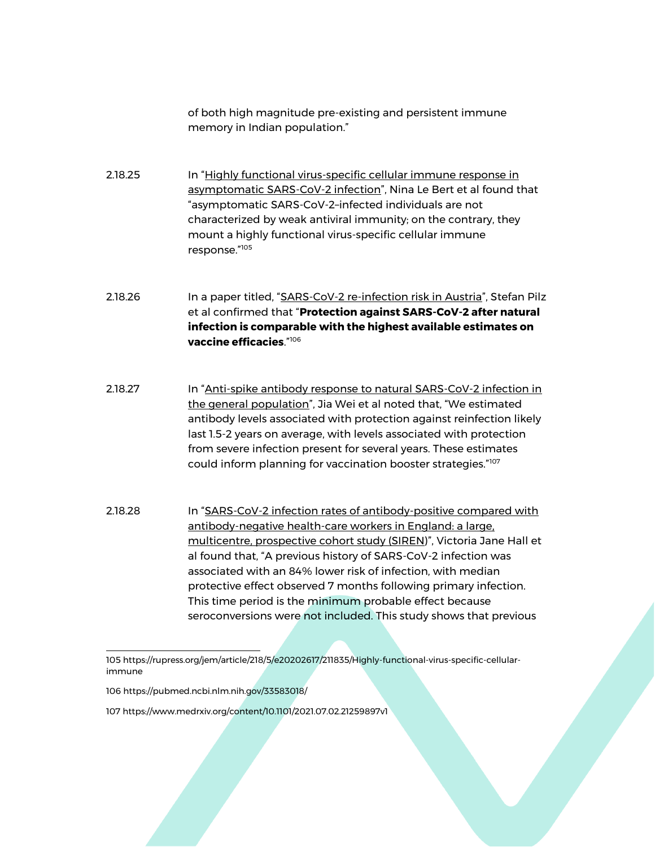of both high magnitude pre-existing and persistent immune memory in Indian population."

2.18.25 In "Highly functional virus-specific cellular immune response in [asymptomatic SARS-CoV-2 infection](https://rupress.org/jem/article/218/5/e20202617/211835/Highly-functional-virus-specific-cellular-immune)", Nina Le Bert et al found that "asymptomatic SARS-CoV-2–infected individuals are not characterized by weak antiviral immunity; on the contrary, they mount a highly functional virus-specific cellular immune response."<sup>105</sup>

2.18.26 In a paper titled, "[SARS-CoV-2 re-infection risk in Austria](https://pubmed.ncbi.nlm.nih.gov/33583018/)", Stefan Pilz et al confirmed that "**Protection against SARS-CoV-2 after natural infection is comparable with the highest available estimates on vaccine efficacies**."<sup>106</sup>

- 2.18.27 In "Anti-spike antibody response to natural SARS-CoV-2 infection in [the general population](https://www.medrxiv.org/content/10.1101/2021.07.02.21259897v1)", Jia Wei et al noted that, "We estimated antibody levels associated with protection against reinfection likely last 1.5-2 years on average, with levels associated with protection from severe infection present for several years. These estimates could inform planning for vaccination booster strategies."<sup>107</sup>
- 2.18.28 In "SARS-CoV-2 infection rates of antibody-positive compared with [antibody-negative health-care workers in England: a large,](https://www.thelancet.com/journals/lancet/article/PIIS0140-6736(21)00675-9/fulltext)  [multicentre, prospective cohort study \(SIREN](https://www.thelancet.com/journals/lancet/article/PIIS0140-6736(21)00675-9/fulltext))", Victoria Jane Hall et al found that, "A previous history of SARS-CoV-2 infection was associated with an 84% lower risk of infection, with median protective effect observed 7 months following primary infection. This time period is the minimum probable effect because seroconversions were not included. This study shows that previous

106 https://pubmed.ncbi.nlm.nih.gov/33583018/

107 https://www.medrxiv.org/content/10.1101/2021.07.02.21259897v1

<sup>105</sup> https://rupress.org/jem/article/218/5/e20202617/211835/Highly-functional-virus-specific-cellularimmune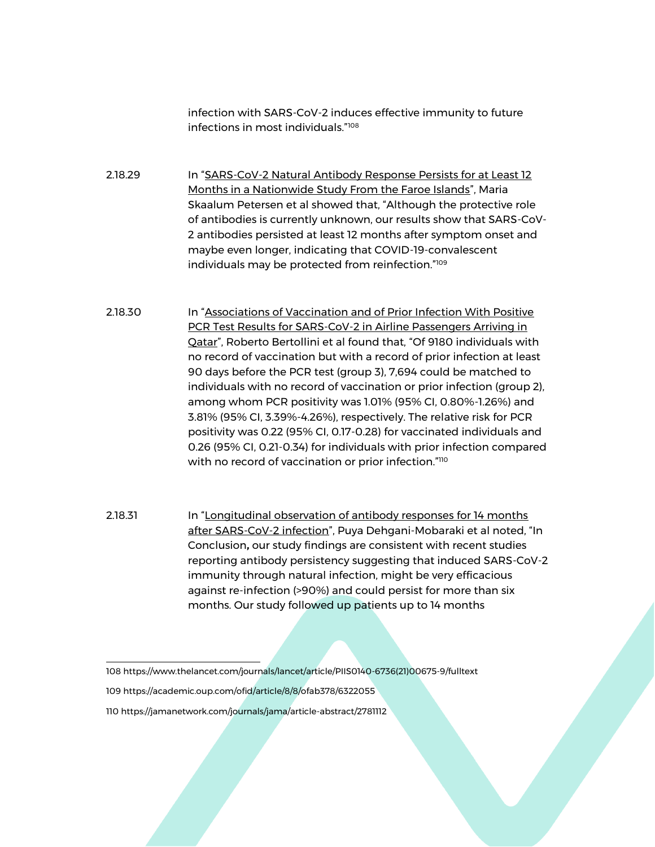infection with SARS-CoV-2 induces effective immunity to future infections in most individuals."<sup>108</sup>

2.18.29 In "SARS-CoV-2 Natural Antibody Response Persists for at Least 12 [Months in a Nationwide Study From the Faroe Islands](https://academic.oup.com/ofid/article/8/8/ofab378/6322055)", Maria Skaalum Petersen et al showed that, "Although the protective role of antibodies is currently unknown, our results show that SARS-CoV-2 antibodies persisted at least 12 months after symptom onset and maybe even longer, indicating that COVID-19-convalescent individuals may be protected from reinfection."<sup>109</sup>

- 2.18.30 In "Associations of Vaccination and of Prior Infection With Positive [PCR Test Results for SARS-CoV-2 in Airline Passengers Arriving in](https://jamanetwork.com/journals/jama/article-abstract/2781112)  [Qatar](https://jamanetwork.com/journals/jama/article-abstract/2781112)", Roberto Bertollini et al found that, "Of 9180 individuals with no record of vaccination but with a record of prior infection at least 90 days before the PCR test (group 3), 7,694 could be matched to individuals with no record of vaccination or prior infection (group 2), among whom PCR positivity was 1.01% (95% CI, 0.80%-1.26%) and 3.81% (95% CI, 3.39%-4.26%), respectively. The relative risk for PCR positivity was 0.22 (95% CI, 0.17-0.28) for vaccinated individuals and 0.26 (95% CI, 0.21-0.34) for individuals with prior infection compared with no record of vaccination or prior infection."<sup>110</sup>
- 2.18.31 In "Longitudinal observation of antibody responses for 14 months [after SARS-CoV-2 infection](https://www.sciencedirect.com/science/article/pii/S1521661621001510)", Puya Dehgani-Mobaraki et al noted, "In Conclusion**,** our study findings are consistent with recent studies reporting antibody persistency suggesting that induced SARS-CoV-2 immunity through natural infection, might be very efficacious against re-infection (>90%) and could persist for more than six months. Our study followed up patients up to 14 months

108 https://www.thelancet.com/journals/lancet/article/PIIS0140-6736(21)00675-9/fulltext

109 https://academic.oup.com/ofid/article/8/8/ofab378/6322055

110 https://jamanetwork.com/journals/jama/article-abstract/2781112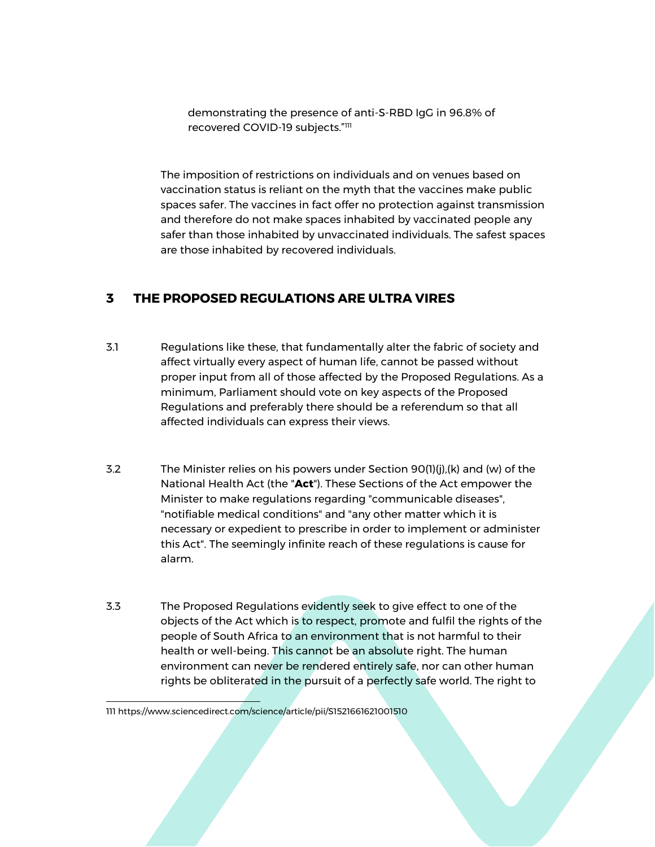demonstrating the presence of anti-S-RBD IgG in 96.8% of recovered COVID-19 subjects."<sup>111</sup>

The imposition of restrictions on individuals and on venues based on vaccination status is reliant on the myth that the vaccines make public spaces safer. The vaccines in fact offer no protection against transmission and therefore do not make spaces inhabited by vaccinated people any safer than those inhabited by unvaccinated individuals. The safest spaces are those inhabited by recovered individuals.

## **3 THE PROPOSED REGULATIONS ARE ULTRA VIRES**

- 3.1 Regulations like these, that fundamentally alter the fabric of society and affect virtually every aspect of human life, cannot be passed without proper input from all of those affected by the Proposed Regulations. As a minimum, Parliament should vote on key aspects of the Proposed Regulations and preferably there should be a referendum so that all affected individuals can express their views.
- 3.2 The Minister relies on his powers under Section 90(1)(j),(k) and (w) of the National Health Act (the "**Act**"). These Sections of the Act empower the Minister to make regulations regarding "communicable diseases", "notifiable medical conditions" and "any other matter which it is necessary or expedient to prescribe in order to implement or administer this Act". The seemingly infinite reach of these regulations is cause for alarm.
- 3.3 The Proposed Regulations evidently seek to give effect to one of the objects of the Act which is to respect, promote and fulfil the rights of the people of South Africa to an environment that is not harmful to their health or well-being. This cannot be an absolute right. The human environment can never be rendered entirely safe, nor can other human rights be obliterated in the pursuit of a perfectly safe world. The right to

<sup>111</sup> https://www.sciencedirect.com/science/article/pii/S1521661621001510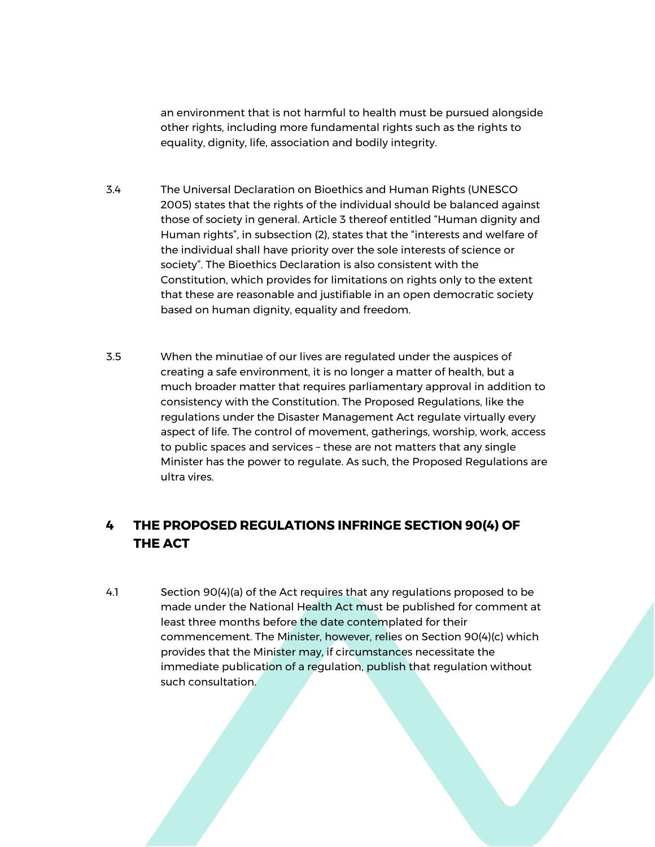an environment that is not harmful to health must be pursued alongside other rights, including more fundamental rights such as the rights to equality, dignity, life, association and bodily integrity.

- 3.4 The Universal Declaration on Bioethics and Human Rights (UNESCO 2005) states that the rights of the individual should be balanced against those of society in general. Article 3 thereof entitled "Human dignity and Human rights", in subsection (2), states that the "interests and welfare of the individual shall have priority over the sole interests of science or society". The Bioethics Declaration is also consistent with the Constitution, which provides for limitations on rights only to the extent that these are reasonable and justifiable in an open democratic society based on human dignity, equality and freedom.
- 3.5 When the minutiae of our lives are regulated under the auspices of creating a safe environment, it is no longer a matter of health, but a much broader matter that requires parliamentary approval in addition to consistency with the Constitution. The Proposed Regulations, like the regulations under the Disaster Management Act regulate virtually every aspect of life. The control of movement, gatherings, worship, work, access to public spaces and services – these are not matters that any single Minister has the power to regulate. As such, the Proposed Regulations are ultra vires.

## **4 THE PROPOSED REGULATIONS INFRINGE SECTION 90(4) OF THE ACT**

4.1 Section 90(4)(a) of the Act requires that any regulations proposed to be made under the National Health Act must be published for comment at least three months before the date contemplated for their commencement. The Minister, however, relies on Section 90(4)(c) which provides that the Minister may, if circumstances necessitate the immediate publication of a regulation, publish that regulation without such consultation.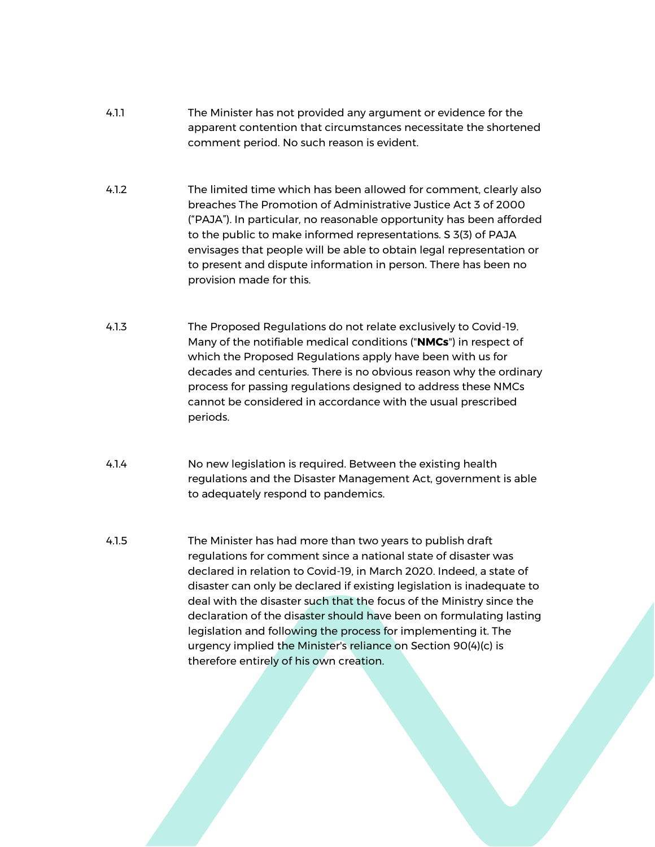- 4.1.1 The Minister has not provided any argument or evidence for the apparent contention that circumstances necessitate the shortened comment period. No such reason is evident.
- 4.1.2 The limited time which has been allowed for comment, clearly also breaches The Promotion of Administrative Justice Act 3 of 2000 ("PAJA"). In particular, no reasonable opportunity has been afforded to the public to make informed representations. S 3(3) of PAJA envisages that people will be able to obtain legal representation or to present and dispute information in person. There has been no provision made for this.
- 4.1.3 The Proposed Regulations do not relate exclusively to Covid-19. Many of the notifiable medical conditions ("**NMCs**") in respect of which the Proposed Regulations apply have been with us for decades and centuries. There is no obvious reason why the ordinary process for passing regulations designed to address these NMCs cannot be considered in accordance with the usual prescribed periods.
- 4.1.4 No new legislation is required. Between the existing health regulations and the Disaster Management Act, government is able to adequately respond to pandemics.
- 4.1.5 The Minister has had more than two years to publish draft regulations for comment since a national state of disaster was declared in relation to Covid-19, in March 2020. Indeed, a state of disaster can only be declared if existing legislation is inadequate to deal with the disaster such that the focus of the Ministry since the declaration of the disaster should have been on formulating lasting legislation and following the process for implementing it. The urgency implied the Minister's reliance on Section 90(4)(c) is therefore entirely of his own creation.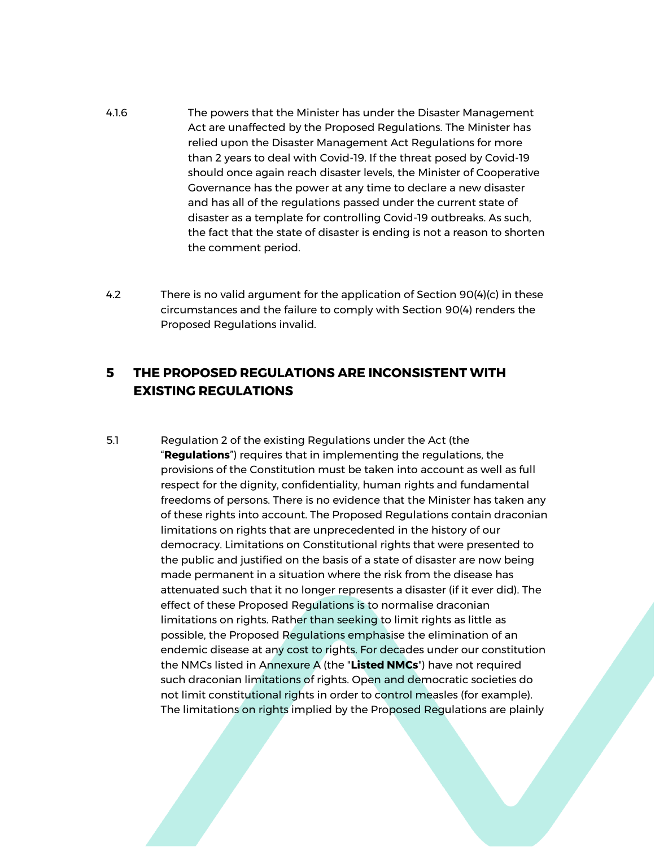- 4.1.6 The powers that the Minister has under the Disaster Management Act are unaffected by the Proposed Regulations. The Minister has relied upon the Disaster Management Act Regulations for more than 2 years to deal with Covid-19. If the threat posed by Covid-19 should once again reach disaster levels, the Minister of Cooperative Governance has the power at any time to declare a new disaster and has all of the regulations passed under the current state of disaster as a template for controlling Covid-19 outbreaks. As such, the fact that the state of disaster is ending is not a reason to shorten the comment period.
- 4.2 There is no valid argument for the application of Section 90(4)(c) in these circumstances and the failure to comply with Section 90(4) renders the Proposed Regulations invalid.

## **5 THE PROPOSED REGULATIONS ARE INCONSISTENT WITH EXISTING REGULATIONS**

5.1 Regulation 2 of the existing Regulations under the Act (the "**Regulations**") requires that in implementing the regulations, the provisions of the Constitution must be taken into account as well as full respect for the dignity, confidentiality, human rights and fundamental freedoms of persons. There is no evidence that the Minister has taken any of these rights into account. The Proposed Regulations contain draconian limitations on rights that are unprecedented in the history of our democracy. Limitations on Constitutional rights that were presented to the public and justified on the basis of a state of disaster are now being made permanent in a situation where the risk from the disease has attenuated such that it no longer represents a disaster (if it ever did). The effect of these Proposed Regulations is to normalise draconian limitations on rights. Rather than seeking to limit rights as little as possible, the Proposed Regulations emphasise the elimination of an endemic disease at any cost to rights. For decades under our constitution the NMCs listed in Annexure A (the "**Listed NMCs**") have not required such draconian limitations of rights. Open and democratic societies do not limit constitutional rights in order to control measles (for example). The limitations on rights implied by the Proposed Regulations are plainly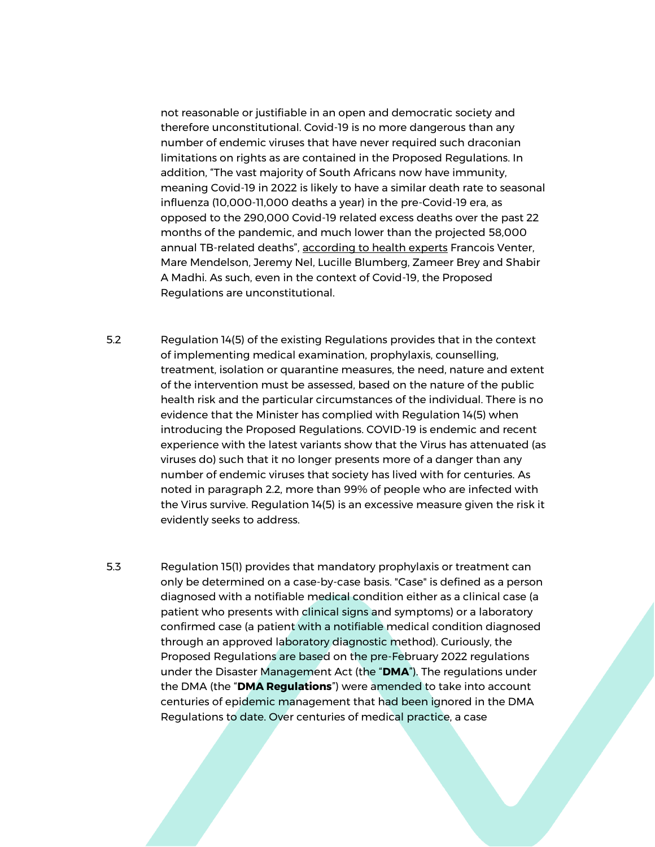not reasonable or justifiable in an open and democratic society and therefore unconstitutional. Covid-19 is no more dangerous than any number of endemic viruses that have never required such draconian limitations on rights as are contained in the Proposed Regulations. In addition, "The vast majority of South Africans now have immunity, meaning Covid-19 in 2022 is likely to have a similar death rate to seasonal influenza (10,000-11,000 deaths a year) in the pre-Covid-19 era, as opposed to the 290,000 Covid-19 related excess deaths over the past 22 months of the pandemic, and much lower than the projected 58,000 annual TB-related deaths", [according to health experts](https://www.dailymaverick.co.za/article/2022-03-17-weve-got-the-power-government-hangs-on-state-of-disaster-to-keep-control/) Francois Venter, Mare Mendelson, Jeremy Nel, Lucille Blumberg, Zameer Brey and Shabir A Madhi. As such, even in the context of Covid-19, the Proposed Regulations are unconstitutional.

- 5.2 Regulation 14(5) of the existing Regulations provides that in the context of implementing medical examination, prophylaxis, counselling, treatment, isolation or quarantine measures, the need, nature and extent of the intervention must be assessed, based on the nature of the public health risk and the particular circumstances of the individual. There is no evidence that the Minister has complied with Regulation 14(5) when introducing the Proposed Regulations. COVID-19 is endemic and recent experience with the latest variants show that the Virus has attenuated (as viruses do) such that it no longer presents more of a danger than any number of endemic viruses that society has lived with for centuries. As noted in paragraph 2.2, more than 99% of people who are infected with the Virus survive. Regulation 14(5) is an excessive measure given the risk it evidently seeks to address.
- 5.3 Regulation 15(1) provides that mandatory prophylaxis or treatment can only be determined on a case-by-case basis. "Case" is defined as a person diagnosed with a notifiable medical condition either as a clinical case (a patient who presents with clinical signs and symptoms) or a laboratory confirmed case (a patient with a notifiable medical condition diagnosed through an approved laboratory diagnostic method). Curiously, the Proposed Regulations are based on the pre-February 2022 regulations under the Disaster Management Act (the "**DMA**"). The regulations under the DMA (the "**DMA Regulations**") were amended to take into account centuries of epidemic management that had been ignored in the DMA Regulations to date. Over centuries of medical practice, a case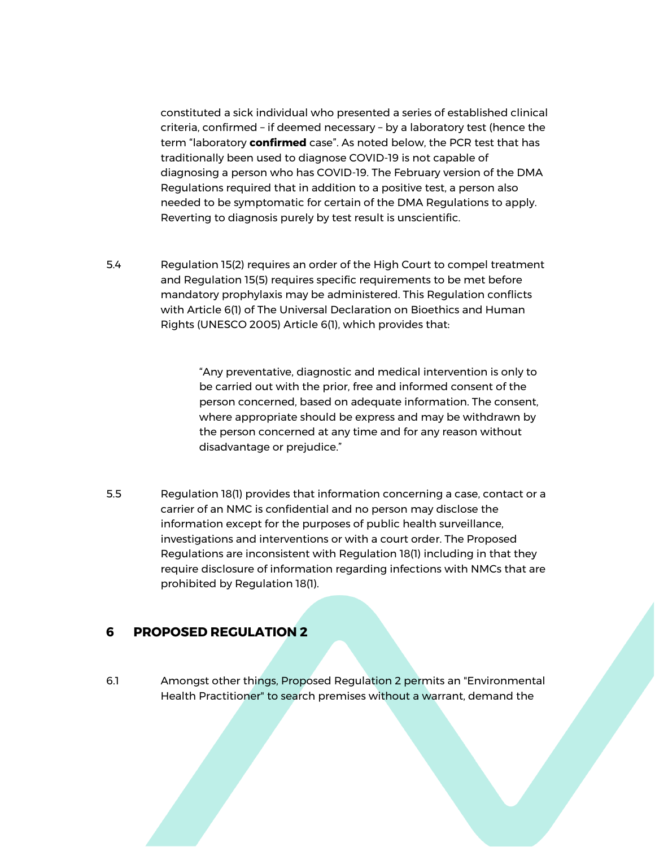constituted a sick individual who presented a series of established clinical criteria, confirmed – if deemed necessary – by a laboratory test (hence the term "laboratory **confirmed** case". As noted below, the PCR test that has traditionally been used to diagnose COVID-19 is not capable of diagnosing a person who has COVID-19. The February version of the DMA Regulations required that in addition to a positive test, a person also needed to be symptomatic for certain of the DMA Regulations to apply. Reverting to diagnosis purely by test result is unscientific.

5.4 Regulation 15(2) requires an order of the High Court to compel treatment and Regulation 15(5) requires specific requirements to be met before mandatory prophylaxis may be administered. This Regulation conflicts with Article 6(1) of The Universal Declaration on Bioethics and Human Rights (UNESCO 2005) Article 6(1), which provides that:

> "Any preventative, diagnostic and medical intervention is only to be carried out with the prior, free and informed consent of the person concerned, based on adequate information. The consent, where appropriate should be express and may be withdrawn by the person concerned at any time and for any reason without disadvantage or prejudice."

5.5 Regulation 18(1) provides that information concerning a case, contact or a carrier of an NMC is confidential and no person may disclose the information except for the purposes of public health surveillance, investigations and interventions or with a court order. The Proposed Regulations are inconsistent with Regulation 18(1) including in that they require disclosure of information regarding infections with NMCs that are prohibited by Regulation 18(1).

### **6 PROPOSED REGULATION 2**

6.1 Amongst other things, Proposed Regulation 2 permits an "Environmental Health Practitioner" to search premises without a warrant, demand the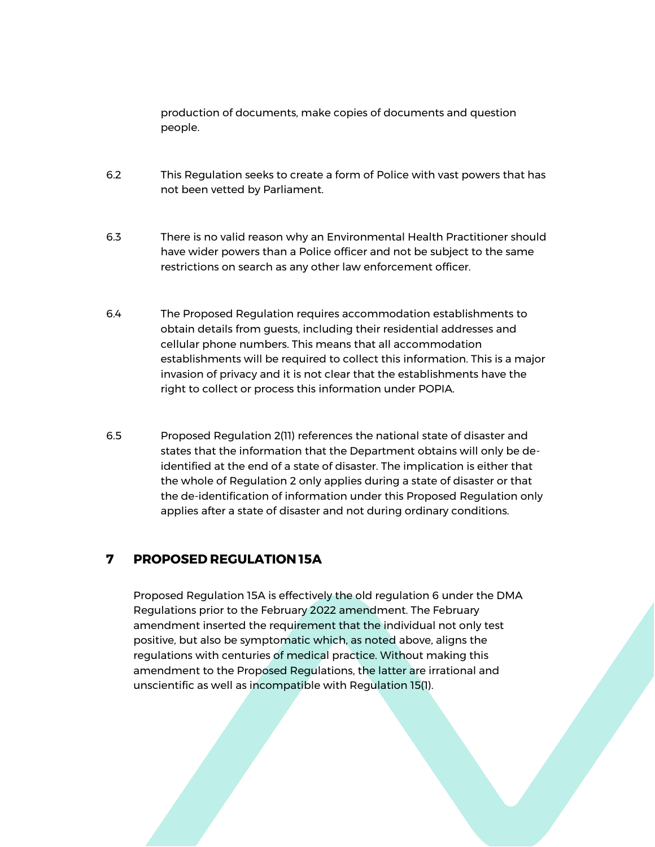production of documents, make copies of documents and question people.

- 6.2 This Regulation seeks to create a form of Police with vast powers that has not been vetted by Parliament.
- 6.3 There is no valid reason why an Environmental Health Practitioner should have wider powers than a Police officer and not be subject to the same restrictions on search as any other law enforcement officer.
- 6.4 The Proposed Regulation requires accommodation establishments to obtain details from guests, including their residential addresses and cellular phone numbers. This means that all accommodation establishments will be required to collect this information. This is a major invasion of privacy and it is not clear that the establishments have the right to collect or process this information under POPIA.
- 6.5 Proposed Regulation 2(11) references the national state of disaster and states that the information that the Department obtains will only be deidentified at the end of a state of disaster. The implication is either that the whole of Regulation 2 only applies during a state of disaster or that the de-identification of information under this Proposed Regulation only applies after a state of disaster and not during ordinary conditions.

### **7 PROPOSED REGULATION 15A**

Proposed Regulation 15A is effectively the old regulation 6 under the DMA Regulations prior to the February 2022 amendment. The February amendment inserted the requirement that the individual not only test positive, but also be symptomatic which, as noted above, aligns the regulations with centuries of medical practice. Without making this amendment to the Proposed Regulations, the latter are irrational and unscientific as well as incompatible with Regulation 15(1).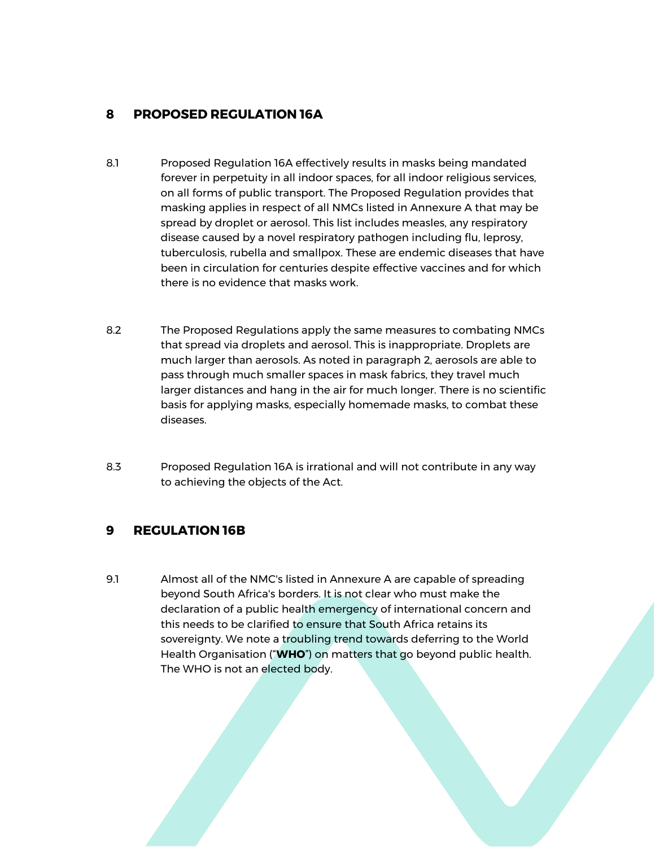## **8 PROPOSED REGULATION 16A**

- 8.1 Proposed Regulation 16A effectively results in masks being mandated forever in perpetuity in all indoor spaces, for all indoor religious services, on all forms of public transport. The Proposed Regulation provides that masking applies in respect of all NMCs listed in Annexure A that may be spread by droplet or aerosol. This list includes measles, any respiratory disease caused by a novel respiratory pathogen including flu, leprosy, tuberculosis, rubella and smallpox. These are endemic diseases that have been in circulation for centuries despite effective vaccines and for which there is no evidence that masks work.
- 8.2 The Proposed Regulations apply the same measures to combating NMCs that spread via droplets and aerosol. This is inappropriate. Droplets are much larger than aerosols. As noted in paragraph [2,](#page-1-0) aerosols are able to pass through much smaller spaces in mask fabrics, they travel much larger distances and hang in the air for much longer. There is no scientific basis for applying masks, especially homemade masks, to combat these diseases.
- 8.3 Proposed Regulation 16A is irrational and will not contribute in any way to achieving the objects of the Act.

## **9 REGULATION 16B**

9.1 Almost all of the NMC's listed in Annexure A are capable of spreading beyond South Africa's borders. It is not clear who must make the declaration of a public health emergency of international concern and this needs to be clarified to ensure that South Africa retains its sovereignty. We note a troubling trend towards deferring to the World Health Organisation ("**WHO**") on matters that go beyond public health. The WHO is not an elected body.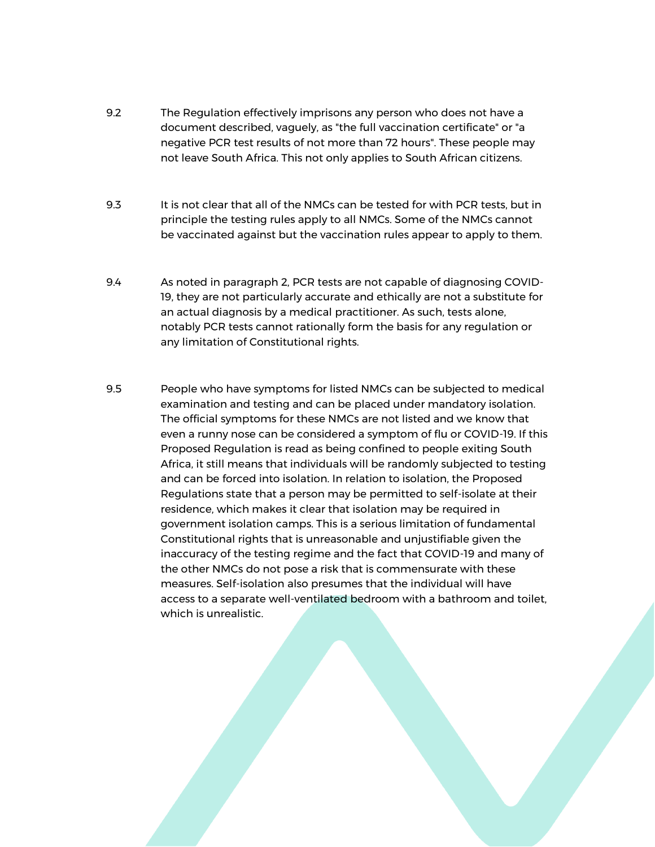- 9.2 The Regulation effectively imprisons any person who does not have a document described, vaguely, as "the full vaccination certificate" or "a negative PCR test results of not more than 72 hours". These people may not leave South Africa. This not only applies to South African citizens.
- 9.3 It is not clear that all of the NMCs can be tested for with PCR tests, but in principle the testing rules apply to all NMCs. Some of the NMCs cannot be vaccinated against but the vaccination rules appear to apply to them.
- 9.4 As noted in paragraph [2,](#page-1-0) PCR tests are not capable of diagnosing COVID-19, they are not particularly accurate and ethically are not a substitute for an actual diagnosis by a medical practitioner. As such, tests alone, notably PCR tests cannot rationally form the basis for any regulation or any limitation of Constitutional rights.
- 9.5 People who have symptoms for listed NMCs can be subjected to medical examination and testing and can be placed under mandatory isolation. The official symptoms for these NMCs are not listed and we know that even a runny nose can be considered a symptom of flu or COVID-19. If this Proposed Regulation is read as being confined to people exiting South Africa, it still means that individuals will be randomly subjected to testing and can be forced into isolation. In relation to isolation, the Proposed Regulations state that a person may be permitted to self-isolate at their residence, which makes it clear that isolation may be required in government isolation camps. This is a serious limitation of fundamental Constitutional rights that is unreasonable and unjustifiable given the inaccuracy of the testing regime and the fact that COVID-19 and many of the other NMCs do not pose a risk that is commensurate with these measures. Self-isolation also presumes that the individual will have access to a separate well-ventilated bedroom with a bathroom and toilet, which is unrealistic.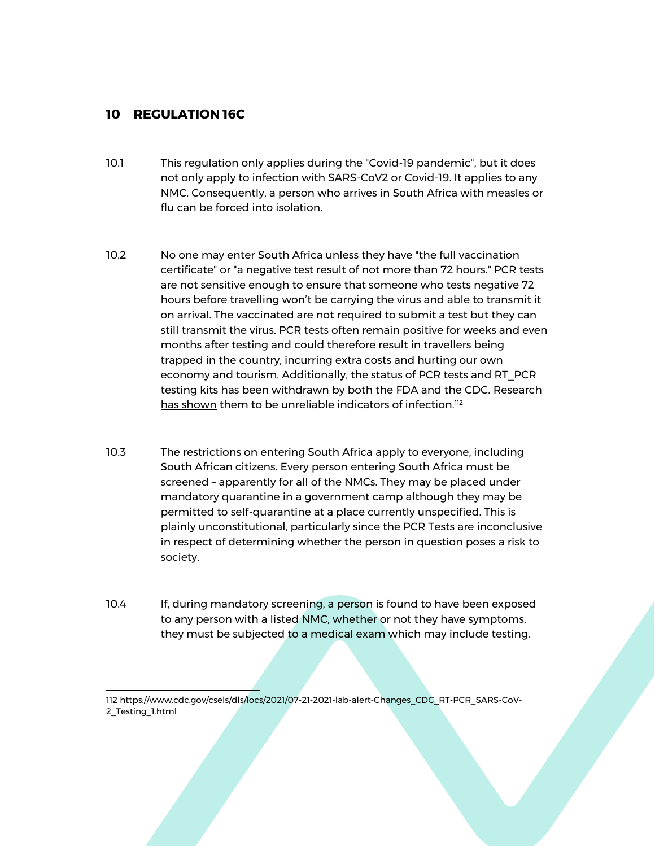#### **10 REGULATION 16C**

- 10.1 This regulation only applies during the "Covid-19 pandemic", but it does not only apply to infection with SARS-CoV2 or Covid-19. It applies to any NMC. Consequently, a person who arrives in South Africa with measles or flu can be forced into isolation.
- 10.2 No one may enter South Africa unless they have "the full vaccination certificate" or "a negative test result of not more than 72 hours." PCR tests are not sensitive enough to ensure that someone who tests negative 72 hours before travelling won't be carrying the virus and able to transmit it on arrival. The vaccinated are not required to submit a test but they can still transmit the virus. PCR tests often remain positive for weeks and even months after testing and could therefore result in travellers being trapped in the country, incurring extra costs and hurting our own economy and tourism. Additionally, the status of PCR tests and RT\_PCR testing kits has been withdrawn by both the FDA and the CDC. Research [has shown](https://www.cdc.gov/csels/dls/locs/2021/07-21-2021-lab-alert-Changes_CDC_RT-PCR_SARS-CoV-2_Testing_1.html) them to be unreliable indicators of infection.<sup>112</sup>
- 10.3 The restrictions on entering South Africa apply to everyone, including South African citizens. Every person entering South Africa must be screened – apparently for all of the NMCs. They may be placed under mandatory quarantine in a government camp although they may be permitted to self-quarantine at a place currently unspecified. This is plainly unconstitutional, particularly since the PCR Tests are inconclusive in respect of determining whether the person in question poses a risk to society.
- 10.4 If, during mandatory screening, a person is found to have been exposed to any person with a listed NMC, whether or not they have symptoms, they must be subjected to a medical exam which may include testing.

112 [https://www.cdc.gov/csels/dls/locs/2021/07-21-2021-lab-alert-Changes\\_CDC\\_RT-PCR\\_SARS-CoV-](https://www.cdc.gov/csels/dls/locs/2021/07-21-2021-lab-alert-Changes_CDC_RT-PCR_SARS-CoV-2_Testing_1.html)[2\\_Testing\\_1.html](https://www.cdc.gov/csels/dls/locs/2021/07-21-2021-lab-alert-Changes_CDC_RT-PCR_SARS-CoV-2_Testing_1.html)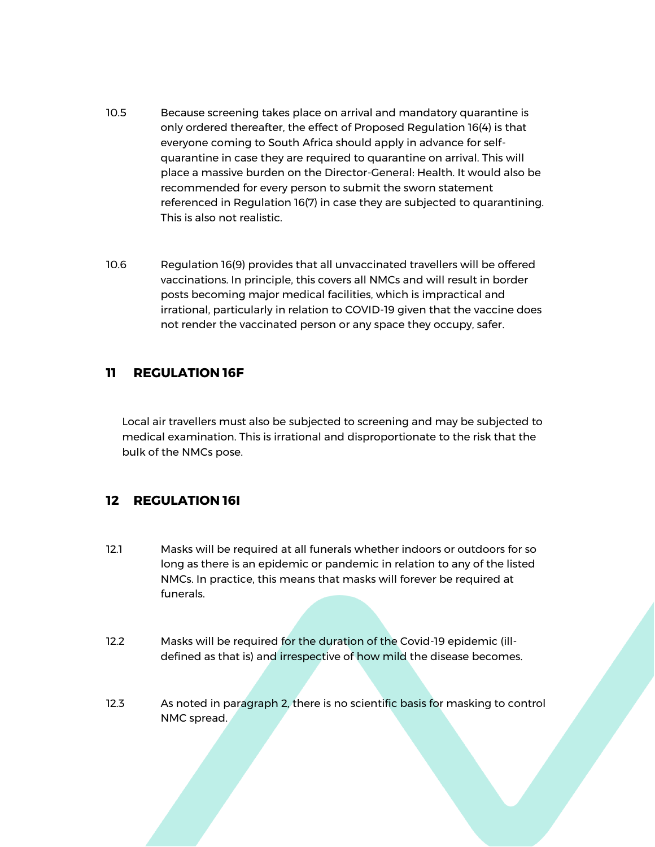- 10.5 Because screening takes place on arrival and mandatory quarantine is only ordered thereafter, the effect of Proposed Regulation 16(4) is that everyone coming to South Africa should apply in advance for selfquarantine in case they are required to quarantine on arrival. This will place a massive burden on the Director-General: Health. It would also be recommended for every person to submit the sworn statement referenced in Regulation 16(7) in case they are subjected to quarantining. This is also not realistic.
- 10.6 Regulation 16(9) provides that all unvaccinated travellers will be offered vaccinations. In principle, this covers all NMCs and will result in border posts becoming major medical facilities, which is impractical and irrational, particularly in relation to COVID-19 given that the vaccine does not render the vaccinated person or any space they occupy, safer.

### **11 REGULATION 16F**

Local air travellers must also be subjected to screening and may be subjected to medical examination. This is irrational and disproportionate to the risk that the bulk of the NMCs pose.

### **12 REGULATION 16I**

- 12.1 Masks will be required at all funerals whether indoors or outdoors for so long as there is an epidemic or pandemic in relation to any of the listed NMCs. In practice, this means that masks will forever be required at funerals.
- 12.2 Masks will be required for the duration of the Covid-19 epidemic (illdefined as that is) and irrespective of how mild the disease becomes.
- 12.3 As noted in paragraph [2,](#page-1-0) there is no scientific basis for masking to control NMC spread.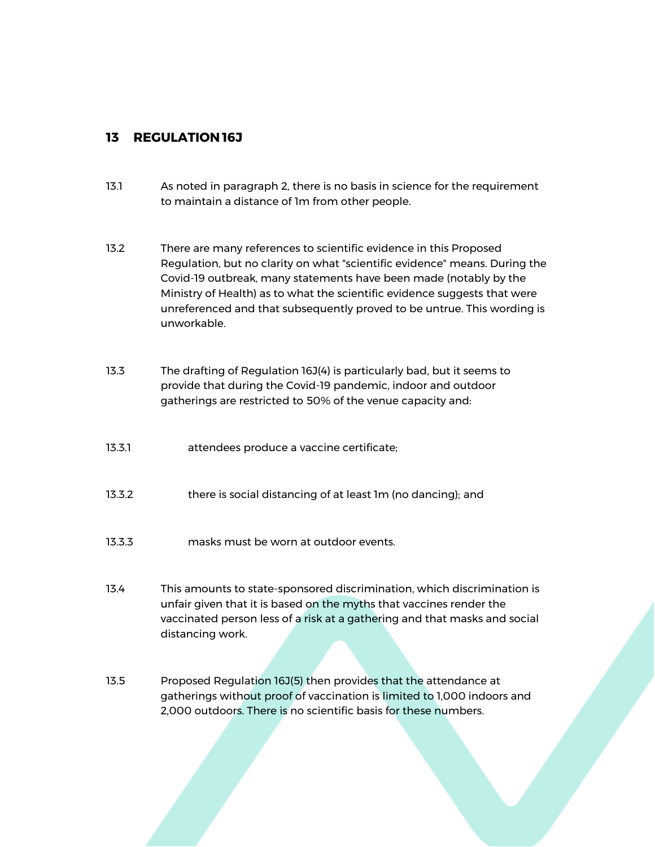## **13 REGULATION 16J**

- 13.1 As noted in paragraph [2,](#page-1-0) there is no basis in science for the requirement to maintain a distance of 1m from other people.
- 13.2 There are many references to scientific evidence in this Proposed Regulation, but no clarity on what "scientific evidence" means. During the Covid-19 outbreak, many statements have been made (notably by the Ministry of Health) as to what the scientific evidence suggests that were unreferenced and that subsequently proved to be untrue. This wording is unworkable.
- 13.3 The drafting of Regulation 16J(4) is particularly bad, but it seems to provide that during the Covid-19 pandemic, indoor and outdoor gatherings are restricted to 50% of the venue capacity and:
- 13.3.1 attendees produce a vaccine certificate;
- 13.3.2 there is social distancing of at least 1m (no dancing); and
- 13.3.3 masks must be worn at outdoor events.
- 13.4 This amounts to state-sponsored discrimination, which discrimination is unfair given that it is based on the myths that vaccines render the vaccinated person less of a risk at a gathering and that masks and social distancing work.
- 13.5 Proposed Regulation 16J(5) then provides that the attendance at gatherings without proof of vaccination is limited to 1,000 indoors and 2,000 outdoors. There is no scientific basis for these numbers.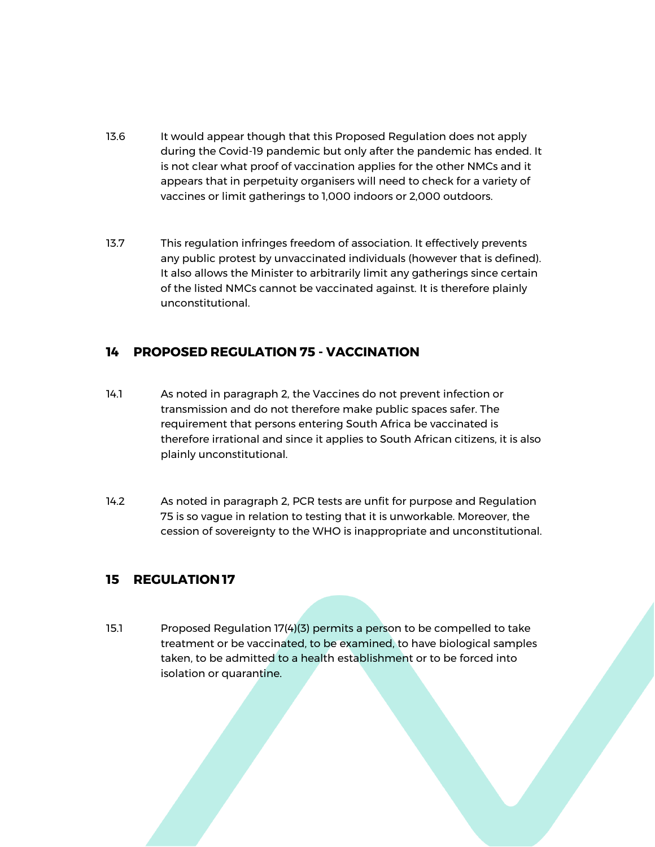- 13.6 It would appear though that this Proposed Regulation does not apply during the Covid-19 pandemic but only after the pandemic has ended. It is not clear what proof of vaccination applies for the other NMCs and it appears that in perpetuity organisers will need to check for a variety of vaccines or limit gatherings to 1,000 indoors or 2,000 outdoors.
- 13.7 This regulation infringes freedom of association. It effectively prevents any public protest by unvaccinated individuals (however that is defined). It also allows the Minister to arbitrarily limit any gatherings since certain of the listed NMCs cannot be vaccinated against. It is therefore plainly unconstitutional.

## **14 PROPOSED REGULATION 75 - VACCINATION**

- 14.1 As noted in paragraph [2,](#page-1-0) the Vaccines do not prevent infection or transmission and do not therefore make public spaces safer. The requirement that persons entering South Africa be vaccinated is therefore irrational and since it applies to South African citizens, it is also plainly unconstitutional.
- 14.2 As noted in paragraph [2,](#page-1-0) PCR tests are unfit for purpose and Regulation 75 is so vague in relation to testing that it is unworkable. Moreover, the cession of sovereignty to the WHO is inappropriate and unconstitutional.

## **15 REGULATION 17**

15.1 Proposed Regulation 17(4)(3) permits a person to be compelled to take treatment or be vaccinated, to be examined, to have biological samples taken, to be admitted to a health establishment or to be forced into isolation or quarantine.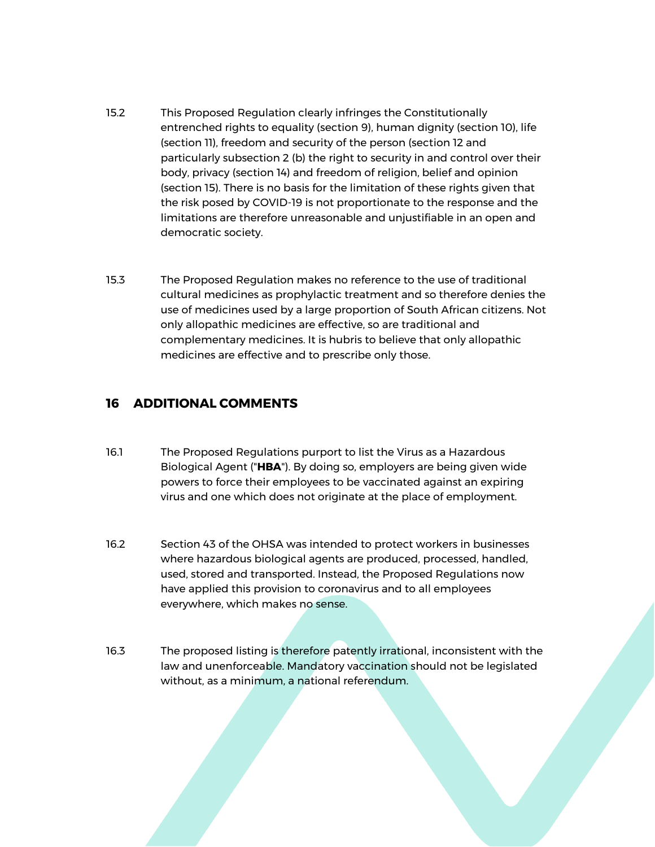- 15.2 This Proposed Regulation clearly infringes the Constitutionally entrenched rights to equality (section 9), human dignity (section 10), life (section 11), freedom and security of the person (section 12 and particularly subsection 2 (b) the right to security in and control over their body, privacy (section 14) and freedom of religion, belief and opinion (section 15). There is no basis for the limitation of these rights given that the risk posed by COVID-19 is not proportionate to the response and the limitations are therefore unreasonable and unjustifiable in an open and democratic society.
- 15.3 The Proposed Regulation makes no reference to the use of traditional cultural medicines as prophylactic treatment and so therefore denies the use of medicines used by a large proportion of South African citizens. Not only allopathic medicines are effective, so are traditional and complementary medicines. It is hubris to believe that only allopathic medicines are effective and to prescribe only those.

### **16 ADDITIONAL COMMENTS**

- 16.1 The Proposed Regulations purport to list the Virus as a Hazardous Biological Agent ("**HBA**"). By doing so, employers are being given wide powers to force their employees to be vaccinated against an expiring virus and one which does not originate at the place of employment.
- 16.2 Section 43 of the OHSA was intended to protect workers in businesses where hazardous biological agents are produced, processed, handled, used, stored and transported. Instead, the Proposed Regulations now have applied this provision to coronavirus and to all employees everywhere, which makes no sense.
- 16.3 The proposed listing is therefore patently irrational, inconsistent with the law and unenforceable. Mandatory vaccination should not be legislated without, as a minimum, a national referendum.